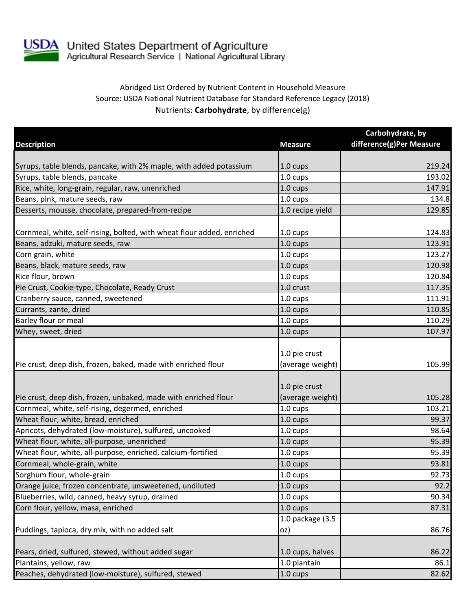

## Abridged List Ordered by Nutrient Content in Household Measure Source: USDA National Nutrient Database for Standard Reference Legacy (2018) Nutrients: **Carbohydrate**, by difference(g)

|                                                                        |                                   | Carbohydrate, by         |
|------------------------------------------------------------------------|-----------------------------------|--------------------------|
| <b>Description</b>                                                     | <b>Measure</b>                    | difference(g)Per Measure |
|                                                                        |                                   |                          |
| Syrups, table blends, pancake, with 2% maple, with added potassium     | $1.0 \text{ cups}$                | 219.24                   |
| Syrups, table blends, pancake                                          | 1.0 cups                          | 193.02                   |
| Rice, white, long-grain, regular, raw, unenriched                      | 1.0 cups                          | 147.91                   |
| Beans, pink, mature seeds, raw                                         | 1.0 cups                          | 134.8                    |
| Desserts, mousse, chocolate, prepared-from-recipe                      | 1.0 recipe yield                  | 129.85                   |
| Cornmeal, white, self-rising, bolted, with wheat flour added, enriched | 1.0 cups                          | 124.83                   |
| Beans, adzuki, mature seeds, raw                                       | 1.0 cups                          | 123.91                   |
| Corn grain, white                                                      | 1.0 cups                          | 123.27                   |
| Beans, black, mature seeds, raw                                        | 1.0 cups                          | 120.98                   |
| Rice flour, brown                                                      | 1.0 cups                          | 120.84                   |
| Pie Crust, Cookie-type, Chocolate, Ready Crust                         | 1.0 crust                         | 117.35                   |
| Cranberry sauce, canned, sweetened                                     | $1.0 \text{ cups}$                | 111.91                   |
| Currants, zante, dried                                                 | 1.0 cups                          | 110.85                   |
| Barley flour or meal                                                   | 1.0 cups                          | 110.29                   |
| Whey, sweet, dried                                                     | 1.0 cups                          | 107.97                   |
| Pie crust, deep dish, frozen, baked, made with enriched flour          | 1.0 pie crust<br>(average weight) | 105.99                   |
| Pie crust, deep dish, frozen, unbaked, made with enriched flour        | 1.0 pie crust<br>(average weight) | 105.28                   |
| Cornmeal, white, self-rising, degermed, enriched                       | 1.0 cups                          | 103.21                   |
| Wheat flour, white, bread, enriched                                    | 1.0 cups                          | 99.37                    |
| Apricots, dehydrated (low-moisture), sulfured, uncooked                | 1.0 cups                          | 98.64                    |
| Wheat flour, white, all-purpose, unenriched                            | 1.0 cups                          | 95.39                    |
| Wheat flour, white, all-purpose, enriched, calcium-fortified           | 1.0 cups                          | 95.39                    |
| Cornmeal, whole-grain, white                                           | 1.0 cups                          | 93.81                    |
| Sorghum flour, whole-grain                                             | $1.0 \text{ cups}$                | 92.73                    |
| Orange juice, frozen concentrate, unsweetened, undiluted               | $1.0 \text{ cups}$                | 92.2                     |
| Blueberries, wild, canned, heavy syrup, drained                        | $1.0 \text{ cups}$                | 90.34                    |
| Corn flour, yellow, masa, enriched                                     | 1.0 cups                          | 87.31                    |
|                                                                        | 1.0 package (3.5                  |                          |
| Puddings, tapioca, dry mix, with no added salt                         | oz)                               | 86.76                    |
| Pears, dried, sulfured, stewed, without added sugar                    | 1.0 cups, halves                  | 86.22                    |
| Plantains, yellow, raw                                                 | 1.0 plantain                      | 86.1                     |
| Peaches, dehydrated (low-moisture), sulfured, stewed                   | 1.0 cups                          | 82.62                    |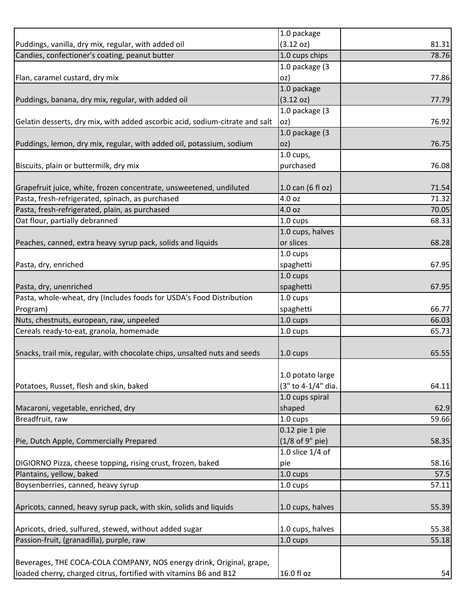|                                                                                                    | 1.0 package                            |                |
|----------------------------------------------------------------------------------------------------|----------------------------------------|----------------|
| Puddings, vanilla, dry mix, regular, with added oil                                                | (3.12 oz)                              | 81.31          |
| Candies, confectioner's coating, peanut butter                                                     | 1.0 cups chips                         | 78.76          |
|                                                                                                    | 1.0 package (3                         |                |
| Flan, caramel custard, dry mix                                                                     | oz)                                    | 77.86          |
|                                                                                                    | 1.0 package                            |                |
| Puddings, banana, dry mix, regular, with added oil                                                 | (3.12 oz)                              | 77.79          |
|                                                                                                    | 1.0 package (3                         |                |
| Gelatin desserts, dry mix, with added ascorbic acid, sodium-citrate and salt                       | oz)                                    | 76.92          |
|                                                                                                    | 1.0 package (3                         |                |
| Puddings, lemon, dry mix, regular, with added oil, potassium, sodium                               | oz)                                    | 76.75          |
|                                                                                                    | $1.0$ cups,                            |                |
| Biscuits, plain or buttermilk, dry mix                                                             | purchased                              | 76.08          |
|                                                                                                    |                                        |                |
| Grapefruit juice, white, frozen concentrate, unsweetened, undiluted                                | 1.0 can (6 fl oz)                      | 71.54          |
| Pasta, fresh-refrigerated, spinach, as purchased                                                   | 4.0 oz                                 | 71.32          |
| Pasta, fresh-refrigerated, plain, as purchased                                                     | 4.0 oz                                 | 70.05          |
| Oat flour, partially debranned                                                                     | $1.0 \text{ cups}$                     | 68.33          |
|                                                                                                    | 1.0 cups, halves                       |                |
| Peaches, canned, extra heavy syrup pack, solids and liquids                                        | or slices                              | 68.28          |
|                                                                                                    | 1.0 cups                               |                |
| Pasta, dry, enriched                                                                               | spaghetti                              | 67.95          |
|                                                                                                    | 1.0 cups                               |                |
| Pasta, dry, unenriched                                                                             | spaghetti                              | 67.95          |
| Pasta, whole-wheat, dry (Includes foods for USDA's Food Distribution                               | 1.0 cups                               |                |
| Program)                                                                                           | spaghetti                              | 66.77          |
| Nuts, chestnuts, european, raw, unpeeled                                                           | 1.0 cups                               | 66.03          |
| Cereals ready-to-eat, granola, homemade                                                            | 1.0 cups                               | 65.73          |
|                                                                                                    |                                        |                |
| Snacks, trail mix, regular, with chocolate chips, unsalted nuts and seeds                          | $1.0 \text{ cups}$                     | 65.55          |
|                                                                                                    |                                        |                |
|                                                                                                    | 1.0 potato large                       |                |
| Potatoes, Russet, flesh and skin, baked                                                            | (3" to 4-1/4" dia.                     | 64.11          |
|                                                                                                    | 1.0 cups spiral                        |                |
| Macaroni, vegetable, enriched, dry                                                                 | shaped                                 | 62.9           |
| Breadfruit, raw                                                                                    | 1.0 cups                               | 59.66          |
|                                                                                                    | 0.12 pie 1 pie                         |                |
| Pie, Dutch Apple, Commercially Prepared                                                            | (1/8 of 9" pie)                        | 58.35          |
|                                                                                                    | 1.0 slice 1/4 of                       |                |
| DIGIORNO Pizza, cheese topping, rising crust, frozen, baked                                        | pie                                    | 58.16          |
| Plantains, yellow, baked                                                                           | 1.0 cups                               | 57.5           |
| Boysenberries, canned, heavy syrup                                                                 | 1.0 cups                               | 57.11          |
|                                                                                                    |                                        |                |
| Apricots, canned, heavy syrup pack, with skin, solids and liquids                                  | 1.0 cups, halves                       | 55.39          |
|                                                                                                    |                                        |                |
| Apricots, dried, sulfured, stewed, without added sugar<br>Passion-fruit, (granadilla), purple, raw | 1.0 cups, halves<br>$1.0 \text{ cups}$ | 55.38<br>55.18 |
|                                                                                                    |                                        |                |
| Beverages, THE COCA-COLA COMPANY, NOS energy drink, Original, grape,                               |                                        |                |
| loaded cherry, charged citrus, fortified with vitamins B6 and B12                                  | 16.0 fl oz                             | 54             |
|                                                                                                    |                                        |                |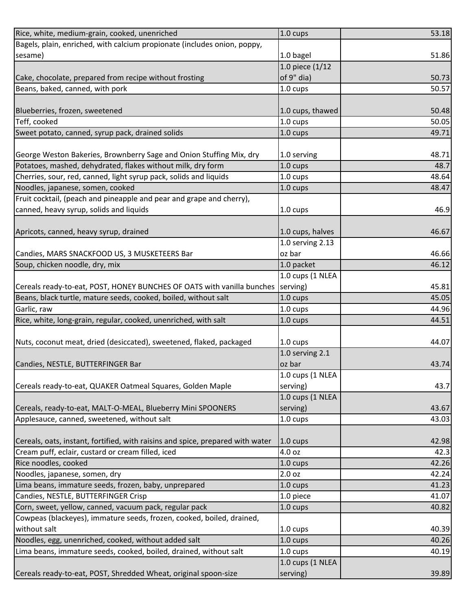| 1.0 bagel<br>1.0 piece (1/12<br>of 9" dia)<br>1.0 cups<br>1.0 cups, thawed<br>1.0 cups<br>50.05<br>1.0 cups<br>49.71<br>1.0 serving<br>48.71<br>48.7<br>1.0 cups<br>48.64<br>1.0 cups<br>48.47<br>1.0 cups<br>1.0 cups<br>46.9<br>Apricots, canned, heavy syrup, drained<br>1.0 cups, halves<br>46.67<br>1.0 serving 2.13<br>oz bar<br>1.0 packet<br>46.12<br>1.0 cups (1 NLEA<br>Cereals ready-to-eat, POST, HONEY BUNCHES OF OATS with vanilla bunches (serving)<br>45.81<br>Beans, black turtle, mature seeds, cooked, boiled, without salt<br>1.0 cups<br>45.05<br>Garlic, raw<br>44.96<br>1.0 cups<br>Rice, white, long-grain, regular, cooked, unenriched, with salt<br>44.51<br>1.0 cups<br>Nuts, coconut meat, dried (desiccated), sweetened, flaked, packaged<br>44.07<br>1.0 cups<br>1.0 serving 2.1<br>oz bar<br>1.0 cups (1 NLEA<br>Cereals ready-to-eat, QUAKER Oatmeal Squares, Golden Maple<br>serving)<br>1.0 cups (1 NLEA<br>Cereals, ready-to-eat, MALT-O-MEAL, Blueberry Mini SPOONERS<br>serving)<br>1.0 cups<br>Cereals, oats, instant, fortified, with raisins and spice, prepared with water<br>$1.0 \text{ cups}$<br>4.0 oz<br>42.26<br>1.0 cups<br>2.0 oz<br>42.24<br>41.23<br>1.0 cups<br>1.0 piece<br>41.07<br>40.82<br>1.0 cups<br>1.0 cups<br>1.0 cups<br>Lima beans, immature seeds, cooked, boiled, drained, without salt<br>1.0 cups<br>1.0 cups (1 NLEA<br>serving) | Rice, white, medium-grain, cooked, unenriched                            | 1.0 cups | 53.18 |
|------------------------------------------------------------------------------------------------------------------------------------------------------------------------------------------------------------------------------------------------------------------------------------------------------------------------------------------------------------------------------------------------------------------------------------------------------------------------------------------------------------------------------------------------------------------------------------------------------------------------------------------------------------------------------------------------------------------------------------------------------------------------------------------------------------------------------------------------------------------------------------------------------------------------------------------------------------------------------------------------------------------------------------------------------------------------------------------------------------------------------------------------------------------------------------------------------------------------------------------------------------------------------------------------------------------------------------------------------------------------------------------------------|--------------------------------------------------------------------------|----------|-------|
| 51.86<br>50.73<br>50.57<br>50.48<br>46.66<br>43.74<br>43.7<br>43.67<br>43.03<br>42.98<br>42.3<br>40.39<br>40.26<br>40.19<br>39.89                                                                                                                                                                                                                                                                                                                                                                                                                                                                                                                                                                                                                                                                                                                                                                                                                                                                                                                                                                                                                                                                                                                                                                                                                                                                    | Bagels, plain, enriched, with calcium propionate (includes onion, poppy, |          |       |
|                                                                                                                                                                                                                                                                                                                                                                                                                                                                                                                                                                                                                                                                                                                                                                                                                                                                                                                                                                                                                                                                                                                                                                                                                                                                                                                                                                                                      | sesame)                                                                  |          |       |
|                                                                                                                                                                                                                                                                                                                                                                                                                                                                                                                                                                                                                                                                                                                                                                                                                                                                                                                                                                                                                                                                                                                                                                                                                                                                                                                                                                                                      |                                                                          |          |       |
|                                                                                                                                                                                                                                                                                                                                                                                                                                                                                                                                                                                                                                                                                                                                                                                                                                                                                                                                                                                                                                                                                                                                                                                                                                                                                                                                                                                                      | Cake, chocolate, prepared from recipe without frosting                   |          |       |
|                                                                                                                                                                                                                                                                                                                                                                                                                                                                                                                                                                                                                                                                                                                                                                                                                                                                                                                                                                                                                                                                                                                                                                                                                                                                                                                                                                                                      | Beans, baked, canned, with pork                                          |          |       |
|                                                                                                                                                                                                                                                                                                                                                                                                                                                                                                                                                                                                                                                                                                                                                                                                                                                                                                                                                                                                                                                                                                                                                                                                                                                                                                                                                                                                      |                                                                          |          |       |
|                                                                                                                                                                                                                                                                                                                                                                                                                                                                                                                                                                                                                                                                                                                                                                                                                                                                                                                                                                                                                                                                                                                                                                                                                                                                                                                                                                                                      | Blueberries, frozen, sweetened                                           |          |       |
|                                                                                                                                                                                                                                                                                                                                                                                                                                                                                                                                                                                                                                                                                                                                                                                                                                                                                                                                                                                                                                                                                                                                                                                                                                                                                                                                                                                                      | Teff, cooked                                                             |          |       |
|                                                                                                                                                                                                                                                                                                                                                                                                                                                                                                                                                                                                                                                                                                                                                                                                                                                                                                                                                                                                                                                                                                                                                                                                                                                                                                                                                                                                      | Sweet potato, canned, syrup pack, drained solids                         |          |       |
|                                                                                                                                                                                                                                                                                                                                                                                                                                                                                                                                                                                                                                                                                                                                                                                                                                                                                                                                                                                                                                                                                                                                                                                                                                                                                                                                                                                                      |                                                                          |          |       |
|                                                                                                                                                                                                                                                                                                                                                                                                                                                                                                                                                                                                                                                                                                                                                                                                                                                                                                                                                                                                                                                                                                                                                                                                                                                                                                                                                                                                      | George Weston Bakeries, Brownberry Sage and Onion Stuffing Mix, dry      |          |       |
|                                                                                                                                                                                                                                                                                                                                                                                                                                                                                                                                                                                                                                                                                                                                                                                                                                                                                                                                                                                                                                                                                                                                                                                                                                                                                                                                                                                                      | Potatoes, mashed, dehydrated, flakes without milk, dry form              |          |       |
|                                                                                                                                                                                                                                                                                                                                                                                                                                                                                                                                                                                                                                                                                                                                                                                                                                                                                                                                                                                                                                                                                                                                                                                                                                                                                                                                                                                                      | Cherries, sour, red, canned, light syrup pack, solids and liquids        |          |       |
|                                                                                                                                                                                                                                                                                                                                                                                                                                                                                                                                                                                                                                                                                                                                                                                                                                                                                                                                                                                                                                                                                                                                                                                                                                                                                                                                                                                                      | Noodles, japanese, somen, cooked                                         |          |       |
|                                                                                                                                                                                                                                                                                                                                                                                                                                                                                                                                                                                                                                                                                                                                                                                                                                                                                                                                                                                                                                                                                                                                                                                                                                                                                                                                                                                                      | Fruit cocktail, (peach and pineapple and pear and grape and cherry),     |          |       |
|                                                                                                                                                                                                                                                                                                                                                                                                                                                                                                                                                                                                                                                                                                                                                                                                                                                                                                                                                                                                                                                                                                                                                                                                                                                                                                                                                                                                      | canned, heavy syrup, solids and liquids                                  |          |       |
|                                                                                                                                                                                                                                                                                                                                                                                                                                                                                                                                                                                                                                                                                                                                                                                                                                                                                                                                                                                                                                                                                                                                                                                                                                                                                                                                                                                                      |                                                                          |          |       |
|                                                                                                                                                                                                                                                                                                                                                                                                                                                                                                                                                                                                                                                                                                                                                                                                                                                                                                                                                                                                                                                                                                                                                                                                                                                                                                                                                                                                      |                                                                          |          |       |
|                                                                                                                                                                                                                                                                                                                                                                                                                                                                                                                                                                                                                                                                                                                                                                                                                                                                                                                                                                                                                                                                                                                                                                                                                                                                                                                                                                                                      |                                                                          |          |       |
|                                                                                                                                                                                                                                                                                                                                                                                                                                                                                                                                                                                                                                                                                                                                                                                                                                                                                                                                                                                                                                                                                                                                                                                                                                                                                                                                                                                                      | Candies, MARS SNACKFOOD US, 3 MUSKETEERS Bar                             |          |       |
|                                                                                                                                                                                                                                                                                                                                                                                                                                                                                                                                                                                                                                                                                                                                                                                                                                                                                                                                                                                                                                                                                                                                                                                                                                                                                                                                                                                                      | Soup, chicken noodle, dry, mix                                           |          |       |
|                                                                                                                                                                                                                                                                                                                                                                                                                                                                                                                                                                                                                                                                                                                                                                                                                                                                                                                                                                                                                                                                                                                                                                                                                                                                                                                                                                                                      |                                                                          |          |       |
|                                                                                                                                                                                                                                                                                                                                                                                                                                                                                                                                                                                                                                                                                                                                                                                                                                                                                                                                                                                                                                                                                                                                                                                                                                                                                                                                                                                                      |                                                                          |          |       |
|                                                                                                                                                                                                                                                                                                                                                                                                                                                                                                                                                                                                                                                                                                                                                                                                                                                                                                                                                                                                                                                                                                                                                                                                                                                                                                                                                                                                      |                                                                          |          |       |
|                                                                                                                                                                                                                                                                                                                                                                                                                                                                                                                                                                                                                                                                                                                                                                                                                                                                                                                                                                                                                                                                                                                                                                                                                                                                                                                                                                                                      |                                                                          |          |       |
|                                                                                                                                                                                                                                                                                                                                                                                                                                                                                                                                                                                                                                                                                                                                                                                                                                                                                                                                                                                                                                                                                                                                                                                                                                                                                                                                                                                                      |                                                                          |          |       |
|                                                                                                                                                                                                                                                                                                                                                                                                                                                                                                                                                                                                                                                                                                                                                                                                                                                                                                                                                                                                                                                                                                                                                                                                                                                                                                                                                                                                      |                                                                          |          |       |
|                                                                                                                                                                                                                                                                                                                                                                                                                                                                                                                                                                                                                                                                                                                                                                                                                                                                                                                                                                                                                                                                                                                                                                                                                                                                                                                                                                                                      |                                                                          |          |       |
|                                                                                                                                                                                                                                                                                                                                                                                                                                                                                                                                                                                                                                                                                                                                                                                                                                                                                                                                                                                                                                                                                                                                                                                                                                                                                                                                                                                                      |                                                                          |          |       |
|                                                                                                                                                                                                                                                                                                                                                                                                                                                                                                                                                                                                                                                                                                                                                                                                                                                                                                                                                                                                                                                                                                                                                                                                                                                                                                                                                                                                      | Candies, NESTLE, BUTTERFINGER Bar                                        |          |       |
|                                                                                                                                                                                                                                                                                                                                                                                                                                                                                                                                                                                                                                                                                                                                                                                                                                                                                                                                                                                                                                                                                                                                                                                                                                                                                                                                                                                                      |                                                                          |          |       |
|                                                                                                                                                                                                                                                                                                                                                                                                                                                                                                                                                                                                                                                                                                                                                                                                                                                                                                                                                                                                                                                                                                                                                                                                                                                                                                                                                                                                      |                                                                          |          |       |
|                                                                                                                                                                                                                                                                                                                                                                                                                                                                                                                                                                                                                                                                                                                                                                                                                                                                                                                                                                                                                                                                                                                                                                                                                                                                                                                                                                                                      |                                                                          |          |       |
|                                                                                                                                                                                                                                                                                                                                                                                                                                                                                                                                                                                                                                                                                                                                                                                                                                                                                                                                                                                                                                                                                                                                                                                                                                                                                                                                                                                                      |                                                                          |          |       |
|                                                                                                                                                                                                                                                                                                                                                                                                                                                                                                                                                                                                                                                                                                                                                                                                                                                                                                                                                                                                                                                                                                                                                                                                                                                                                                                                                                                                      | Applesauce, canned, sweetened, without salt                              |          |       |
|                                                                                                                                                                                                                                                                                                                                                                                                                                                                                                                                                                                                                                                                                                                                                                                                                                                                                                                                                                                                                                                                                                                                                                                                                                                                                                                                                                                                      |                                                                          |          |       |
|                                                                                                                                                                                                                                                                                                                                                                                                                                                                                                                                                                                                                                                                                                                                                                                                                                                                                                                                                                                                                                                                                                                                                                                                                                                                                                                                                                                                      |                                                                          |          |       |
|                                                                                                                                                                                                                                                                                                                                                                                                                                                                                                                                                                                                                                                                                                                                                                                                                                                                                                                                                                                                                                                                                                                                                                                                                                                                                                                                                                                                      | Cream puff, eclair, custard or cream filled, iced                        |          |       |
|                                                                                                                                                                                                                                                                                                                                                                                                                                                                                                                                                                                                                                                                                                                                                                                                                                                                                                                                                                                                                                                                                                                                                                                                                                                                                                                                                                                                      | Rice noodles, cooked                                                     |          |       |
|                                                                                                                                                                                                                                                                                                                                                                                                                                                                                                                                                                                                                                                                                                                                                                                                                                                                                                                                                                                                                                                                                                                                                                                                                                                                                                                                                                                                      | Noodles, japanese, somen, dry                                            |          |       |
|                                                                                                                                                                                                                                                                                                                                                                                                                                                                                                                                                                                                                                                                                                                                                                                                                                                                                                                                                                                                                                                                                                                                                                                                                                                                                                                                                                                                      | Lima beans, immature seeds, frozen, baby, unprepared                     |          |       |
|                                                                                                                                                                                                                                                                                                                                                                                                                                                                                                                                                                                                                                                                                                                                                                                                                                                                                                                                                                                                                                                                                                                                                                                                                                                                                                                                                                                                      | Candies, NESTLE, BUTTERFINGER Crisp                                      |          |       |
|                                                                                                                                                                                                                                                                                                                                                                                                                                                                                                                                                                                                                                                                                                                                                                                                                                                                                                                                                                                                                                                                                                                                                                                                                                                                                                                                                                                                      | Corn, sweet, yellow, canned, vacuum pack, regular pack                   |          |       |
|                                                                                                                                                                                                                                                                                                                                                                                                                                                                                                                                                                                                                                                                                                                                                                                                                                                                                                                                                                                                                                                                                                                                                                                                                                                                                                                                                                                                      | Cowpeas (blackeyes), immature seeds, frozen, cooked, boiled, drained,    |          |       |
|                                                                                                                                                                                                                                                                                                                                                                                                                                                                                                                                                                                                                                                                                                                                                                                                                                                                                                                                                                                                                                                                                                                                                                                                                                                                                                                                                                                                      | without salt                                                             |          |       |
|                                                                                                                                                                                                                                                                                                                                                                                                                                                                                                                                                                                                                                                                                                                                                                                                                                                                                                                                                                                                                                                                                                                                                                                                                                                                                                                                                                                                      | Noodles, egg, unenriched, cooked, without added salt                     |          |       |
|                                                                                                                                                                                                                                                                                                                                                                                                                                                                                                                                                                                                                                                                                                                                                                                                                                                                                                                                                                                                                                                                                                                                                                                                                                                                                                                                                                                                      |                                                                          |          |       |
|                                                                                                                                                                                                                                                                                                                                                                                                                                                                                                                                                                                                                                                                                                                                                                                                                                                                                                                                                                                                                                                                                                                                                                                                                                                                                                                                                                                                      |                                                                          |          |       |
|                                                                                                                                                                                                                                                                                                                                                                                                                                                                                                                                                                                                                                                                                                                                                                                                                                                                                                                                                                                                                                                                                                                                                                                                                                                                                                                                                                                                      | Cereals ready-to-eat, POST, Shredded Wheat, original spoon-size          |          |       |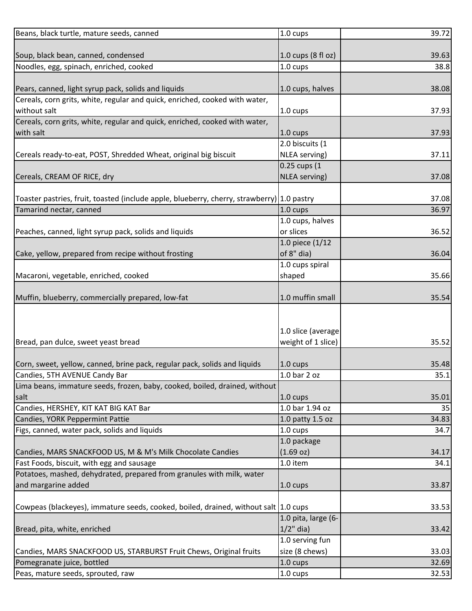| Beans, black turtle, mature seeds, canned                                                  | 1.0 cups            | 39.72 |
|--------------------------------------------------------------------------------------------|---------------------|-------|
|                                                                                            |                     |       |
| Soup, black bean, canned, condensed                                                        | 1.0 cups (8 fl oz)  | 39.63 |
| Noodles, egg, spinach, enriched, cooked                                                    | 1.0 cups            | 38.8  |
| Pears, canned, light syrup pack, solids and liquids                                        | 1.0 cups, halves    | 38.08 |
| Cereals, corn grits, white, regular and quick, enriched, cooked with water,                |                     |       |
| without salt                                                                               | 1.0 cups            | 37.93 |
| Cereals, corn grits, white, regular and quick, enriched, cooked with water,                |                     |       |
| with salt                                                                                  | 1.0 cups            | 37.93 |
|                                                                                            | 2.0 biscuits (1     |       |
| Cereals ready-to-eat, POST, Shredded Wheat, original big biscuit                           | NLEA serving)       | 37.11 |
|                                                                                            | 0.25 cups (1        |       |
| Cereals, CREAM OF RICE, dry                                                                | NLEA serving)       | 37.08 |
|                                                                                            |                     |       |
| Toaster pastries, fruit, toasted (include apple, blueberry, cherry, strawberry) 1.0 pastry |                     | 37.08 |
| Tamarind nectar, canned                                                                    | 1.0 cups            | 36.97 |
|                                                                                            | 1.0 cups, halves    |       |
| Peaches, canned, light syrup pack, solids and liquids                                      | or slices           | 36.52 |
|                                                                                            | 1.0 piece (1/12     |       |
| Cake, yellow, prepared from recipe without frosting                                        | of 8" dia)          | 36.04 |
|                                                                                            | 1.0 cups spiral     |       |
| Macaroni, vegetable, enriched, cooked                                                      | shaped              | 35.66 |
|                                                                                            |                     |       |
| Muffin, blueberry, commercially prepared, low-fat                                          | 1.0 muffin small    | 35.54 |
|                                                                                            |                     |       |
|                                                                                            |                     |       |
|                                                                                            | 1.0 slice (average  |       |
| Bread, pan dulce, sweet yeast bread                                                        | weight of 1 slice)  | 35.52 |
|                                                                                            |                     |       |
| Corn, sweet, yellow, canned, brine pack, regular pack, solids and liquids                  | $1.0 \text{ cups}$  | 35.48 |
| Candies, 5TH AVENUE Candy Bar                                                              | 1.0 bar 2 oz        | 35.1  |
| Lima beans, immature seeds, frozen, baby, cooked, boiled, drained, without                 |                     |       |
| salt                                                                                       | $1.0 \text{ cups}$  | 35.01 |
| Candies, HERSHEY, KIT KAT BIG KAT Bar                                                      | 1.0 bar 1.94 oz     | 35    |
| Candies, YORK Peppermint Pattie                                                            | 1.0 patty 1.5 oz    | 34.83 |
| Figs, canned, water pack, solids and liquids                                               | $1.0 \text{ cups}$  | 34.7  |
|                                                                                            | 1.0 package         |       |
| Candies, MARS SNACKFOOD US, M & M's Milk Chocolate Candies                                 | (1.69 oz)           | 34.17 |
| Fast Foods, biscuit, with egg and sausage                                                  | 1.0 item            | 34.1  |
| Potatoes, mashed, dehydrated, prepared from granules with milk, water                      |                     |       |
| and margarine added                                                                        | 1.0 cups            | 33.87 |
|                                                                                            |                     |       |
| Cowpeas (blackeyes), immature seeds, cooked, boiled, drained, without salt 1.0 cups        |                     | 33.53 |
|                                                                                            | 1.0 pita, large (6- |       |
| Bread, pita, white, enriched                                                               | $1/2$ " dia)        | 33.42 |
|                                                                                            | 1.0 serving fun     |       |
| Candies, MARS SNACKFOOD US, STARBURST Fruit Chews, Original fruits                         | size (8 chews)      | 33.03 |
| Pomegranate juice, bottled                                                                 | 1.0 cups            | 32.69 |
| Peas, mature seeds, sprouted, raw                                                          | 1.0 cups            | 32.53 |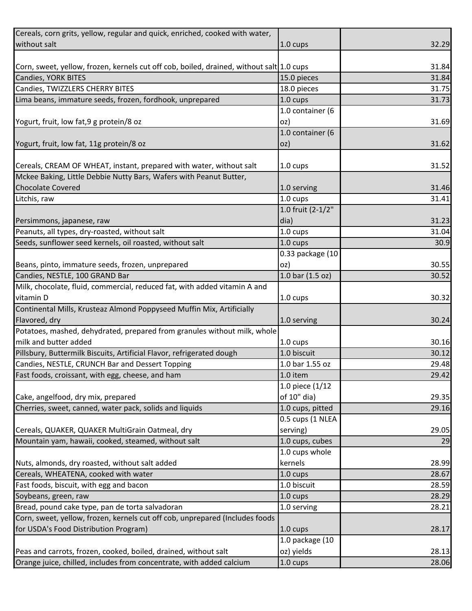| Cereals, corn grits, yellow, regular and quick, enriched, cooked with water,             |                    |       |
|------------------------------------------------------------------------------------------|--------------------|-------|
| without salt                                                                             | 1.0 cups           | 32.29 |
|                                                                                          |                    |       |
| Corn, sweet, yellow, frozen, kernels cut off cob, boiled, drained, without salt 1.0 cups |                    | 31.84 |
| Candies, YORK BITES                                                                      | 15.0 pieces        | 31.84 |
| Candies, TWIZZLERS CHERRY BITES                                                          | 18.0 pieces        | 31.75 |
| Lima beans, immature seeds, frozen, fordhook, unprepared                                 | 1.0 cups           | 31.73 |
|                                                                                          | 1.0 container (6   |       |
| Yogurt, fruit, low fat, 9 g protein/8 oz                                                 | oz)                | 31.69 |
|                                                                                          | 1.0 container (6   |       |
| Yogurt, fruit, low fat, 11g protein/8 oz                                                 | oz)                | 31.62 |
|                                                                                          |                    |       |
| Cereals, CREAM OF WHEAT, instant, prepared with water, without salt                      | 1.0 cups           | 31.52 |
| Mckee Baking, Little Debbie Nutty Bars, Wafers with Peanut Butter,                       |                    |       |
| <b>Chocolate Covered</b>                                                                 | 1.0 serving        | 31.46 |
| Litchis, raw                                                                             | 1.0 cups           | 31.41 |
|                                                                                          | 1.0 fruit (2-1/2"  |       |
| Persimmons, japanese, raw                                                                | dia)               | 31.23 |
| Peanuts, all types, dry-roasted, without salt                                            | 1.0 cups           | 31.04 |
| Seeds, sunflower seed kernels, oil roasted, without salt                                 | 1.0 cups           | 30.9  |
|                                                                                          | 0.33 package (10   |       |
| Beans, pinto, immature seeds, frozen, unprepared                                         | oz)                | 30.55 |
| Candies, NESTLE, 100 GRAND Bar                                                           | 1.0 bar (1.5 oz)   | 30.52 |
| Milk, chocolate, fluid, commercial, reduced fat, with added vitamin A and                |                    |       |
| vitamin D                                                                                | 1.0 cups           | 30.32 |
| Continental Mills, Krusteaz Almond Poppyseed Muffin Mix, Artificially                    |                    |       |
| Flavored, dry                                                                            | 1.0 serving        | 30.24 |
| Potatoes, mashed, dehydrated, prepared from granules without milk, whole                 |                    |       |
| milk and butter added                                                                    | 1.0 cups           | 30.16 |
| Pillsbury, Buttermilk Biscuits, Artificial Flavor, refrigerated dough                    | 1.0 biscuit        | 30.12 |
| Candies, NESTLE, CRUNCH Bar and Dessert Topping                                          | 1.0 bar 1.55 oz    | 29.48 |
| Fast foods, croissant, with egg, cheese, and ham                                         | 1.0 item           | 29.42 |
|                                                                                          | 1.0 piece (1/12    |       |
| Cake, angelfood, dry mix, prepared                                                       | of 10" dia)        | 29.35 |
| Cherries, sweet, canned, water pack, solids and liquids                                  | 1.0 cups, pitted   | 29.16 |
|                                                                                          | 0.5 cups (1 NLEA   |       |
| Cereals, QUAKER, QUAKER MultiGrain Oatmeal, dry                                          | serving)           | 29.05 |
| Mountain yam, hawaii, cooked, steamed, without salt                                      | 1.0 cups, cubes    | 29    |
|                                                                                          | 1.0 cups whole     |       |
| Nuts, almonds, dry roasted, without salt added                                           | kernels            | 28.99 |
| Cereals, WHEATENA, cooked with water                                                     | $1.0 \text{ cups}$ | 28.67 |
| Fast foods, biscuit, with egg and bacon                                                  | 1.0 biscuit        | 28.59 |
| Soybeans, green, raw                                                                     | $1.0 \text{ cups}$ | 28.29 |
| Bread, pound cake type, pan de torta salvadoran                                          | 1.0 serving        | 28.21 |
| Corn, sweet, yellow, frozen, kernels cut off cob, unprepared (Includes foods             |                    |       |
| for USDA's Food Distribution Program)                                                    | 1.0 cups           | 28.17 |
|                                                                                          | 1.0 package (10    |       |
| Peas and carrots, frozen, cooked, boiled, drained, without salt                          | oz) yields         | 28.13 |
| Orange juice, chilled, includes from concentrate, with added calcium                     | 1.0 cups           | 28.06 |
|                                                                                          |                    |       |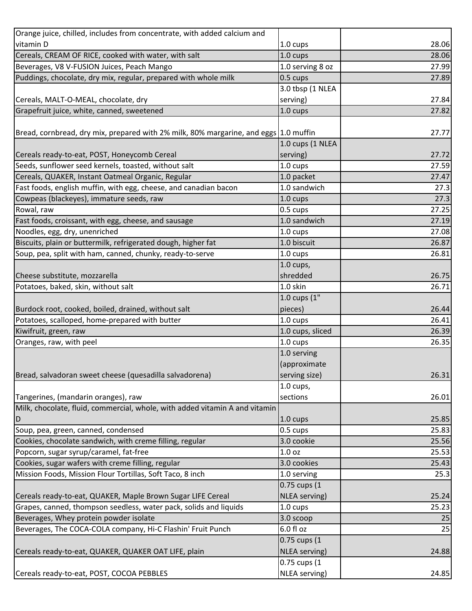| Orange juice, chilled, includes from concentrate, with added calcium and             |                      |       |
|--------------------------------------------------------------------------------------|----------------------|-------|
| vitamin D                                                                            | $1.0 \text{ cups}$   | 28.06 |
| Cereals, CREAM OF RICE, cooked with water, with salt                                 | 1.0 cups             | 28.06 |
| Beverages, V8 V-FUSION Juices, Peach Mango                                           | 1.0 serving 8 oz     | 27.99 |
| Puddings, chocolate, dry mix, regular, prepared with whole milk                      | 0.5 cups             | 27.89 |
|                                                                                      | 3.0 tbsp (1 NLEA     |       |
| Cereals, MALT-O-MEAL, chocolate, dry                                                 | serving)             | 27.84 |
| Grapefruit juice, white, canned, sweetened                                           | 1.0 cups             | 27.82 |
|                                                                                      |                      |       |
| Bread, cornbread, dry mix, prepared with 2% milk, 80% margarine, and eggs 1.0 muffin |                      | 27.77 |
|                                                                                      | 1.0 cups (1 NLEA     |       |
| Cereals ready-to-eat, POST, Honeycomb Cereal                                         | serving)             | 27.72 |
| Seeds, sunflower seed kernels, toasted, without salt                                 | 1.0 cups             | 27.59 |
| Cereals, QUAKER, Instant Oatmeal Organic, Regular                                    | 1.0 packet           | 27.47 |
| Fast foods, english muffin, with egg, cheese, and canadian bacon                     | 1.0 sandwich         | 27.3  |
| Cowpeas (blackeyes), immature seeds, raw                                             | 1.0 cups             | 27.3  |
| Rowal, raw                                                                           | 0.5 cups             | 27.25 |
| Fast foods, croissant, with egg, cheese, and sausage                                 | 1.0 sandwich         | 27.19 |
| Noodles, egg, dry, unenriched                                                        | 1.0 cups             | 27.08 |
| Biscuits, plain or buttermilk, refrigerated dough, higher fat                        | 1.0 biscuit          | 26.87 |
| Soup, pea, split with ham, canned, chunky, ready-to-serve                            | 1.0 cups             | 26.81 |
|                                                                                      | $1.0 \text{ cups}$ , |       |
| Cheese substitute, mozzarella                                                        | shredded             | 26.75 |
| Potatoes, baked, skin, without salt                                                  | 1.0 skin             | 26.71 |
|                                                                                      | 1.0 cups (1"         |       |
| Burdock root, cooked, boiled, drained, without salt                                  | pieces)              | 26.44 |
| Potatoes, scalloped, home-prepared with butter                                       | 1.0 cups             | 26.41 |
| Kiwifruit, green, raw                                                                | 1.0 cups, sliced     | 26.39 |
| Oranges, raw, with peel                                                              | 1.0 cups             | 26.35 |
|                                                                                      | 1.0 serving          |       |
|                                                                                      | (approximate         |       |
| Bread, salvadoran sweet cheese (quesadilla salvadorena)                              | serving size)        | 26.31 |
|                                                                                      | $1.0$ cups,          |       |
| Tangerines, (mandarin oranges), raw                                                  | sections             | 26.01 |
| Milk, chocolate, fluid, commercial, whole, with added vitamin A and vitamin          |                      |       |
| D                                                                                    | 1.0 cups             | 25.85 |
| Soup, pea, green, canned, condensed                                                  | 0.5 cups             | 25.83 |
| Cookies, chocolate sandwich, with creme filling, regular                             | 3.0 cookie           | 25.56 |
| Popcorn, sugar syrup/caramel, fat-free                                               | 1.0 <sub>oz</sub>    | 25.53 |
| Cookies, sugar wafers with creme filling, regular                                    | 3.0 cookies          | 25.43 |
| Mission Foods, Mission Flour Tortillas, Soft Taco, 8 inch                            | 1.0 serving          | 25.3  |
|                                                                                      | 0.75 cups (1         |       |
| Cereals ready-to-eat, QUAKER, Maple Brown Sugar LIFE Cereal                          | NLEA serving)        | 25.24 |
| Grapes, canned, thompson seedless, water pack, solids and liquids                    | $1.0 \text{ cups}$   | 25.23 |
| Beverages, Whey protein powder isolate                                               | 3.0 scoop            | 25    |
| Beverages, The COCA-COLA company, Hi-C Flashin' Fruit Punch                          | 6.0 fl oz            | 25    |
|                                                                                      | 0.75 cups (1         |       |
| Cereals ready-to-eat, QUAKER, QUAKER OAT LIFE, plain                                 | NLEA serving)        | 24.88 |
|                                                                                      | 0.75 cups (1         |       |
| Cereals ready-to-eat, POST, COCOA PEBBLES                                            | NLEA serving)        | 24.85 |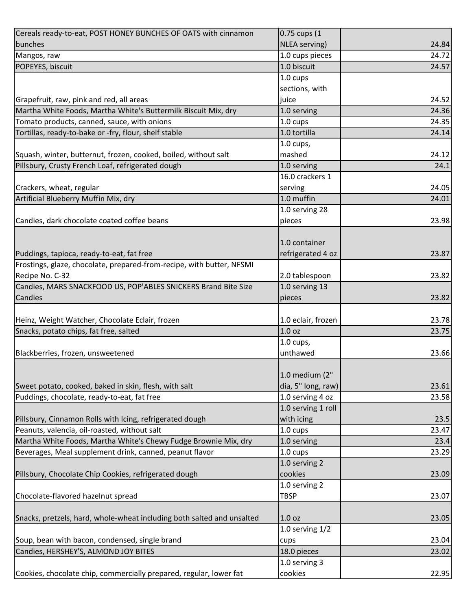| Cereals ready-to-eat, POST HONEY BUNCHES OF OATS with cinnamon                                       | 0.75 cups (1       |                |
|------------------------------------------------------------------------------------------------------|--------------------|----------------|
| bunches                                                                                              | NLEA serving)      | 24.84          |
| Mangos, raw                                                                                          | 1.0 cups pieces    | 24.72          |
| POPEYES, biscuit                                                                                     | 1.0 biscuit        | 24.57          |
|                                                                                                      | 1.0 cups           |                |
|                                                                                                      | sections, with     |                |
| Grapefruit, raw, pink and red, all areas                                                             | juice              | 24.52          |
| Martha White Foods, Martha White's Buttermilk Biscuit Mix, dry                                       | 1.0 serving        | 24.36          |
| Tomato products, canned, sauce, with onions                                                          | 1.0 cups           | 24.35          |
| Tortillas, ready-to-bake or -fry, flour, shelf stable                                                | 1.0 tortilla       | 24.14          |
|                                                                                                      | $1.0$ cups,        |                |
| Squash, winter, butternut, frozen, cooked, boiled, without salt                                      | mashed             | 24.12          |
| Pillsbury, Crusty French Loaf, refrigerated dough                                                    | 1.0 serving        | 24.1           |
|                                                                                                      | 16.0 crackers 1    |                |
| Crackers, wheat, regular                                                                             | serving            | 24.05          |
| Artificial Blueberry Muffin Mix, dry                                                                 | 1.0 muffin         | 24.01          |
|                                                                                                      | 1.0 serving 28     |                |
| Candies, dark chocolate coated coffee beans                                                          | pieces             | 23.98          |
|                                                                                                      |                    |                |
|                                                                                                      | 1.0 container      |                |
| Puddings, tapioca, ready-to-eat, fat free                                                            | refrigerated 4 oz  | 23.87          |
| Frostings, glaze, chocolate, prepared-from-recipe, with butter, NFSMI                                |                    |                |
| Recipe No. C-32                                                                                      | 2.0 tablespoon     | 23.82          |
| Candies, MARS SNACKFOOD US, POP'ABLES SNICKERS Brand Bite Size                                       | 1.0 serving 13     |                |
| Candies                                                                                              | pieces             | 23.82          |
|                                                                                                      |                    |                |
| Heinz, Weight Watcher, Chocolate Eclair, frozen                                                      | 1.0 eclair, frozen | 23.78          |
| Snacks, potato chips, fat free, salted                                                               | 1.0 <sub>oz</sub>  | 23.75          |
|                                                                                                      | $1.0$ cups,        |                |
| Blackberries, frozen, unsweetened                                                                    | unthawed           | 23.66          |
|                                                                                                      |                    |                |
|                                                                                                      | 1.0 medium (2"     |                |
|                                                                                                      |                    |                |
| Sweet potato, cooked, baked in skin, flesh, with salt<br>Puddings, chocolate, ready-to-eat, fat free | dia, 5" long, raw) | 23.61<br>23.58 |
|                                                                                                      | 1.0 serving 4 oz   |                |
|                                                                                                      | 1.0 serving 1 roll |                |
| Pillsbury, Cinnamon Rolls with Icing, refrigerated dough                                             | with icing         | 23.5           |
| Peanuts, valencia, oil-roasted, without salt                                                         | 1.0 cups           | 23.47          |
| Martha White Foods, Martha White's Chewy Fudge Brownie Mix, dry                                      | 1.0 serving        | 23.4           |
| Beverages, Meal supplement drink, canned, peanut flavor                                              | 1.0 cups           | 23.29          |
|                                                                                                      | 1.0 serving 2      |                |
| Pillsbury, Chocolate Chip Cookies, refrigerated dough                                                | cookies            | 23.09          |
|                                                                                                      | 1.0 serving 2      |                |
| Chocolate-flavored hazelnut spread                                                                   | <b>TBSP</b>        | 23.07          |
|                                                                                                      |                    |                |
| Snacks, pretzels, hard, whole-wheat including both salted and unsalted                               | 1.0 <sub>oz</sub>  | 23.05          |
|                                                                                                      | 1.0 serving $1/2$  |                |
| Soup, bean with bacon, condensed, single brand                                                       | cups               | 23.04          |
| Candies, HERSHEY'S, ALMOND JOY BITES                                                                 | 18.0 pieces        | 23.02          |
|                                                                                                      | 1.0 serving 3      |                |
| Cookies, chocolate chip, commercially prepared, regular, lower fat                                   | cookies            | 22.95          |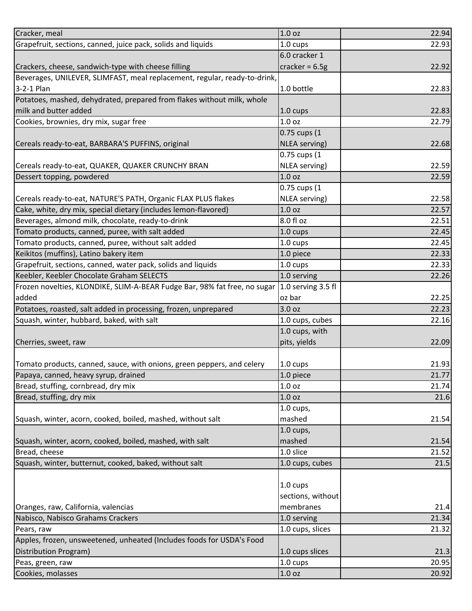| Cracker, meal                                                             | 1.0 <sub>oz</sub>  | 22.94 |
|---------------------------------------------------------------------------|--------------------|-------|
| Grapefruit, sections, canned, juice pack, solids and liquids              | 1.0 cups           | 22.93 |
|                                                                           | 6.0 cracker 1      |       |
| Crackers, cheese, sandwich-type with cheese filling                       | cracker = $6.5g$   | 22.92 |
| Beverages, UNILEVER, SLIMFAST, meal replacement, regular, ready-to-drink, |                    |       |
| 3-2-1 Plan                                                                | 1.0 bottle         | 22.83 |
| Potatoes, mashed, dehydrated, prepared from flakes without milk, whole    |                    |       |
| milk and butter added                                                     | $1.0 \text{ cups}$ | 22.83 |
| Cookies, brownies, dry mix, sugar free                                    | 1.0 <sub>oz</sub>  | 22.79 |
|                                                                           | 0.75 cups (1       |       |
| Cereals ready-to-eat, BARBARA'S PUFFINS, original                         | NLEA serving)      | 22.68 |
|                                                                           | 0.75 cups (1       |       |
| Cereals ready-to-eat, QUAKER, QUAKER CRUNCHY BRAN                         | NLEA serving)      | 22.59 |
| Dessert topping, powdered                                                 | 1.0 <sub>oz</sub>  | 22.59 |
|                                                                           | 0.75 cups (1       |       |
| Cereals ready-to-eat, NATURE'S PATH, Organic FLAX PLUS flakes             | NLEA serving)      | 22.58 |
| Cake, white, dry mix, special dietary (includes lemon-flavored)           | 1.0 <sub>oz</sub>  | 22.57 |
| Beverages, almond milk, chocolate, ready-to-drink                         | 8.0 fl oz          | 22.51 |
| Tomato products, canned, puree, with salt added                           | $1.0 \text{ cups}$ | 22.45 |
| Tomato products, canned, puree, without salt added                        | 1.0 cups           | 22.45 |
| Keikitos (muffins), Latino bakery item                                    | 1.0 piece          | 22.33 |
|                                                                           |                    |       |
| Grapefruit, sections, canned, water pack, solids and liquids              | 1.0 cups           | 22.33 |
| Keebler, Keebler Chocolate Graham SELECTS                                 | 1.0 serving        | 22.26 |
| Frozen novelties, KLONDIKE, SLIM-A-BEAR Fudge Bar, 98% fat free, no sugar | 1.0 serving 3.5 fl |       |
| added                                                                     | oz bar             | 22.25 |
| Potatoes, roasted, salt added in processing, frozen, unprepared           | 3.0 oz             | 22.23 |
| Squash, winter, hubbard, baked, with salt                                 | 1.0 cups, cubes    | 22.16 |
|                                                                           | 1.0 cups, with     |       |
| Cherries, sweet, raw                                                      | pits, yields       | 22.09 |
|                                                                           |                    |       |
| Tomato products, canned, sauce, with onions, green peppers, and celery    | $1.0 \text{ cups}$ | 21.93 |
| Papaya, canned, heavy syrup, drained                                      | 1.0 piece          | 21.77 |
| Bread, stuffing, cornbread, dry mix                                       | 1.0 <sub>oz</sub>  | 21.74 |
| Bread, stuffing, dry mix                                                  | 1.0 <sub>oz</sub>  | 21.6  |
|                                                                           | $1.0$ cups,        |       |
| Squash, winter, acorn, cooked, boiled, mashed, without salt               | mashed             | 21.54 |
|                                                                           | $1.0$ cups,        |       |
| Squash, winter, acorn, cooked, boiled, mashed, with salt                  | mashed             | 21.54 |
| Bread, cheese                                                             | 1.0 slice          | 21.52 |
| Squash, winter, butternut, cooked, baked, without salt                    | 1.0 cups, cubes    | 21.5  |
|                                                                           |                    |       |
|                                                                           | 1.0 cups           |       |
|                                                                           | sections, without  |       |
| Oranges, raw, California, valencias                                       | membranes          | 21.4  |
| Nabisco, Nabisco Grahams Crackers                                         | 1.0 serving        | 21.34 |
| Pears, raw                                                                | 1.0 cups, slices   | 21.32 |
| Apples, frozen, unsweetened, unheated (Includes foods for USDA's Food     |                    |       |
| Distribution Program)                                                     | 1.0 cups slices    | 21.3  |
| Peas, green, raw                                                          | 1.0 cups           | 20.95 |
| Cookies, molasses                                                         | 1.0 oz             | 20.92 |
|                                                                           |                    |       |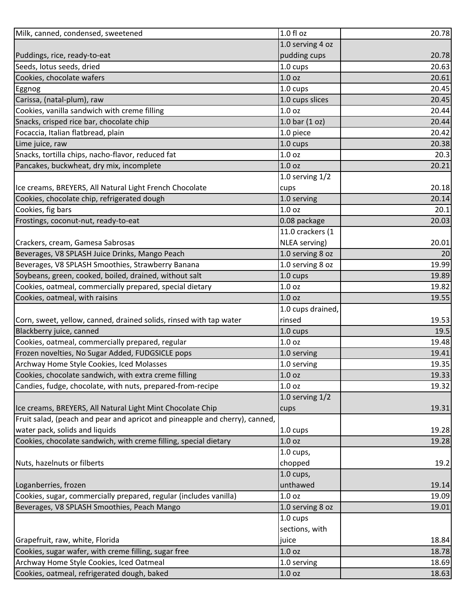| Milk, canned, condensed, sweetened                                          | 1.0 fl oz          | 20.78 |
|-----------------------------------------------------------------------------|--------------------|-------|
|                                                                             | 1.0 serving 4 oz   |       |
| Puddings, rice, ready-to-eat                                                | pudding cups       | 20.78 |
| Seeds, lotus seeds, dried                                                   | 1.0 cups           | 20.63 |
| Cookies, chocolate wafers                                                   | 1.0 <sub>oz</sub>  | 20.61 |
| Eggnog                                                                      | 1.0 cups           | 20.45 |
| Carissa, (natal-plum), raw                                                  | 1.0 cups slices    | 20.45 |
| Cookies, vanilla sandwich with creme filling                                | 1.0 <sub>oz</sub>  | 20.44 |
| Snacks, crisped rice bar, chocolate chip                                    | $1.0$ bar $(1$ oz) | 20.44 |
| Focaccia, Italian flatbread, plain                                          | 1.0 piece          | 20.42 |
| Lime juice, raw                                                             | 1.0 cups           | 20.38 |
| Snacks, tortilla chips, nacho-flavor, reduced fat                           | 1.0 <sub>oz</sub>  | 20.3  |
| Pancakes, buckwheat, dry mix, incomplete                                    | 1.0 <sub>oz</sub>  | 20.21 |
|                                                                             | 1.0 serving $1/2$  |       |
| Ice creams, BREYERS, All Natural Light French Chocolate                     | cups               | 20.18 |
| Cookies, chocolate chip, refrigerated dough                                 | 1.0 serving        | 20.14 |
| Cookies, fig bars                                                           | 1.0 <sub>oz</sub>  | 20.1  |
| Frostings, coconut-nut, ready-to-eat                                        | 0.08 package       | 20.03 |
|                                                                             | 11.0 crackers (1   |       |
| Crackers, cream, Gamesa Sabrosas                                            | NLEA serving)      | 20.01 |
| Beverages, V8 SPLASH Juice Drinks, Mango Peach                              | 1.0 serving 8 oz   | 20    |
| Beverages, V8 SPLASH Smoothies, Strawberry Banana                           | 1.0 serving 8 oz   | 19.99 |
| Soybeans, green, cooked, boiled, drained, without salt                      | 1.0 cups           | 19.89 |
| Cookies, oatmeal, commercially prepared, special dietary                    | 1.0 <sub>oz</sub>  | 19.82 |
| Cookies, oatmeal, with raisins                                              | 1.0 <sub>oz</sub>  | 19.55 |
|                                                                             | 1.0 cups drained,  |       |
| Corn, sweet, yellow, canned, drained solids, rinsed with tap water          | rinsed             | 19.53 |
| Blackberry juice, canned                                                    | 1.0 cups           | 19.5  |
| Cookies, oatmeal, commercially prepared, regular                            | 1.0 <sub>oz</sub>  | 19.48 |
| Frozen novelties, No Sugar Added, FUDGSICLE pops                            | 1.0 serving        | 19.41 |
| Archway Home Style Cookies, Iced Molasses                                   | 1.0 serving        | 19.35 |
| Cookies, chocolate sandwich, with extra creme filling                       | 1.0 <sub>oz</sub>  | 19.33 |
| Candies, fudge, chocolate, with nuts, prepared-from-recipe                  | 1.0 <sub>oz</sub>  | 19.32 |
|                                                                             | 1.0 serving $1/2$  |       |
| Ice creams, BREYERS, All Natural Light Mint Chocolate Chip                  | cups               | 19.31 |
| Fruit salad, (peach and pear and apricot and pineapple and cherry), canned, |                    |       |
| water pack, solids and liquids                                              | 1.0 cups           | 19.28 |
| Cookies, chocolate sandwich, with creme filling, special dietary            | 1.0 <sub>oz</sub>  | 19.28 |
|                                                                             | 1.0 cups,          |       |
| Nuts, hazelnuts or filberts                                                 | chopped            | 19.2  |
|                                                                             | $1.0$ cups,        |       |
| Loganberries, frozen                                                        | unthawed           | 19.14 |
| Cookies, sugar, commercially prepared, regular (includes vanilla)           | 1.0 <sub>oz</sub>  | 19.09 |
| Beverages, V8 SPLASH Smoothies, Peach Mango                                 | 1.0 serving 8 oz   | 19.01 |
|                                                                             | 1.0 cups           |       |
|                                                                             | sections, with     |       |
| Grapefruit, raw, white, Florida                                             | juice              | 18.84 |
| Cookies, sugar wafer, with creme filling, sugar free                        | 1.0 <sub>oz</sub>  | 18.78 |
| Archway Home Style Cookies, Iced Oatmeal                                    | 1.0 serving        | 18.69 |
| Cookies, oatmeal, refrigerated dough, baked                                 | 1.0 <sub>oz</sub>  | 18.63 |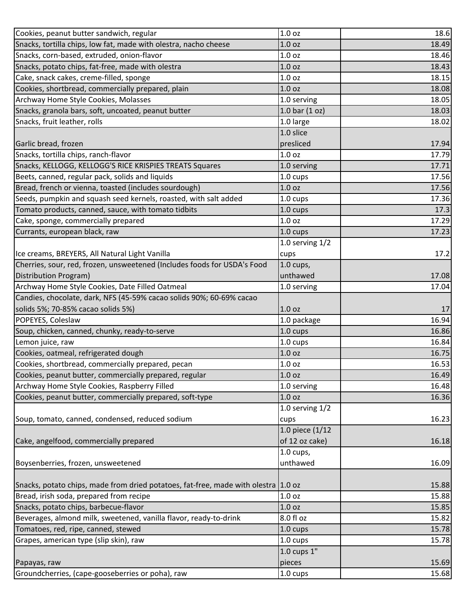| Cookies, peanut butter sandwich, regular                                           | 1.0 <sub>oz</sub>  | 18.6  |
|------------------------------------------------------------------------------------|--------------------|-------|
| Snacks, tortilla chips, low fat, made with olestra, nacho cheese                   | 1.0 <sub>oz</sub>  | 18.49 |
| Snacks, corn-based, extruded, onion-flavor                                         | 1.0 <sub>oz</sub>  | 18.46 |
| Snacks, potato chips, fat-free, made with olestra                                  | 1.0 <sub>oz</sub>  | 18.43 |
| Cake, snack cakes, creme-filled, sponge                                            | 1.0 <sub>oz</sub>  | 18.15 |
| Cookies, shortbread, commercially prepared, plain                                  | 1.0 <sub>oz</sub>  | 18.08 |
| Archway Home Style Cookies, Molasses                                               | 1.0 serving        | 18.05 |
| Snacks, granola bars, soft, uncoated, peanut butter                                | 1.0 bar $(1 oz)$   | 18.03 |
| Snacks, fruit leather, rolls                                                       | 1.0 large          | 18.02 |
|                                                                                    | 1.0 slice          |       |
| Garlic bread, frozen                                                               | presliced          | 17.94 |
| Snacks, tortilla chips, ranch-flavor                                               | 1.0 <sub>oz</sub>  | 17.79 |
| Snacks, KELLOGG, KELLOGG'S RICE KRISPIES TREATS Squares                            | 1.0 serving        | 17.71 |
| Beets, canned, regular pack, solids and liquids                                    | 1.0 cups           | 17.56 |
| Bread, french or vienna, toasted (includes sourdough)                              | 1.0 <sub>oz</sub>  | 17.56 |
| Seeds, pumpkin and squash seed kernels, roasted, with salt added                   | 1.0 cups           | 17.36 |
| Tomato products, canned, sauce, with tomato tidbits                                | 1.0 cups           | 17.3  |
| Cake, sponge, commercially prepared                                                | 1.0 oz             | 17.29 |
| Currants, european black, raw                                                      | 1.0 cups           | 17.23 |
|                                                                                    | 1.0 serving $1/2$  |       |
| Ice creams, BREYERS, All Natural Light Vanilla                                     | cups               | 17.2  |
| Cherries, sour, red, frozen, unsweetened (Includes foods for USDA's Food           | 1.0 cups,          |       |
| Distribution Program)                                                              | unthawed           | 17.08 |
| Archway Home Style Cookies, Date Filled Oatmeal                                    | 1.0 serving        | 17.04 |
| Candies, chocolate, dark, NFS (45-59% cacao solids 90%; 60-69% cacao               |                    |       |
| solids 5%; 70-85% cacao solids 5%)                                                 | 1.0 <sub>oz</sub>  | 17    |
| POPEYES, Coleslaw                                                                  | 1.0 package        | 16.94 |
| Soup, chicken, canned, chunky, ready-to-serve                                      | 1.0 cups           | 16.86 |
| Lemon juice, raw                                                                   | $1.0 \text{ cups}$ | 16.84 |
| Cookies, oatmeal, refrigerated dough                                               | 1.0 <sub>oz</sub>  | 16.75 |
| Cookies, shortbread, commercially prepared, pecan                                  | 1.0 <sub>oz</sub>  | 16.53 |
| Cookies, peanut butter, commercially prepared, regular                             | 1.0 <sub>oz</sub>  | 16.49 |
| Archway Home Style Cookies, Raspberry Filled                                       | 1.0 serving        | 16.48 |
| Cookies, peanut butter, commercially prepared, soft-type                           | 1.0 <sub>oz</sub>  | 16.36 |
|                                                                                    | 1.0 serving $1/2$  |       |
| Soup, tomato, canned, condensed, reduced sodium                                    | cups               | 16.23 |
|                                                                                    | 1.0 piece (1/12    |       |
| Cake, angelfood, commercially prepared                                             | of 12 oz cake)     | 16.18 |
|                                                                                    | $1.0$ cups,        |       |
| Boysenberries, frozen, unsweetened                                                 | unthawed           | 16.09 |
|                                                                                    |                    |       |
| Snacks, potato chips, made from dried potatoes, fat-free, made with olestra 1.0 oz |                    | 15.88 |
| Bread, irish soda, prepared from recipe                                            | 1.0 <sub>oz</sub>  | 15.88 |
| Snacks, potato chips, barbecue-flavor                                              | 1.0 oz             | 15.85 |
| Beverages, almond milk, sweetened, vanilla flavor, ready-to-drink                  | 8.0 fl oz          | 15.82 |
| Tomatoes, red, ripe, canned, stewed                                                | 1.0 cups           | 15.78 |
| Grapes, american type (slip skin), raw                                             | 1.0 cups           | 15.78 |
|                                                                                    | $1.0$ cups $1"$    |       |
| Papayas, raw                                                                       | pieces             | 15.69 |
| Groundcherries, (cape-gooseberries or poha), raw                                   | $1.0 \text{ cups}$ | 15.68 |
|                                                                                    |                    |       |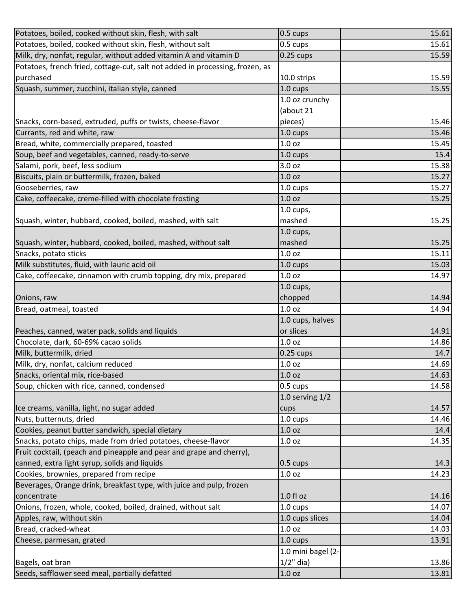| Potatoes, boiled, cooked without skin, flesh, with salt                       | $0.5 \text{ cups}$     | 15.61                                                                        |
|-------------------------------------------------------------------------------|------------------------|------------------------------------------------------------------------------|
| Potatoes, boiled, cooked without skin, flesh, without salt                    | 0.5 cups               | 15.61                                                                        |
| Milk, dry, nonfat, regular, without added vitamin A and vitamin D             | $0.25$ cups            | 15.59                                                                        |
| Potatoes, french fried, cottage-cut, salt not added in processing, frozen, as |                        |                                                                              |
| purchased                                                                     | 10.0 strips            | 15.59                                                                        |
| Squash, summer, zucchini, italian style, canned                               | 1.0 cups               | 15.55                                                                        |
|                                                                               | 1.0 oz crunchy         |                                                                              |
|                                                                               | (about 21              |                                                                              |
| Snacks, corn-based, extruded, puffs or twists, cheese-flavor                  | pieces)                | 15.46                                                                        |
| Currants, red and white, raw                                                  | 1.0 cups               | 15.46                                                                        |
| Bread, white, commercially prepared, toasted                                  | 1.0 <sub>oz</sub>      | 15.45                                                                        |
| Soup, beef and vegetables, canned, ready-to-serve                             | $1.0 \text{ cups}$     | 15.4                                                                         |
| Salami, pork, beef, less sodium                                               | 3.0 oz                 | 15.38                                                                        |
| Biscuits, plain or buttermilk, frozen, baked                                  | 1.0 <sub>oz</sub>      | 15.27                                                                        |
| Gooseberries, raw                                                             | $1.0 \text{ cups}$     | 15.27                                                                        |
| Cake, coffeecake, creme-filled with chocolate frosting                        | 1.0 oz                 | 15.25                                                                        |
|                                                                               | $1.0$ cups,            |                                                                              |
| Squash, winter, hubbard, cooked, boiled, mashed, with salt                    | mashed                 | 15.25                                                                        |
|                                                                               | $1.0$ cups,            |                                                                              |
| Squash, winter, hubbard, cooked, boiled, mashed, without salt                 | mashed                 | 15.25                                                                        |
| Snacks, potato sticks                                                         | 1.0 oz                 | 15.11                                                                        |
| Milk substitutes, fluid, with lauric acid oil                                 | 1.0 cups               | 15.03                                                                        |
| Cake, coffeecake, cinnamon with crumb topping, dry mix, prepared              | 1.0 <sub>oz</sub>      | 14.97                                                                        |
|                                                                               | $1.0$ cups,            |                                                                              |
| Onions, raw                                                                   | chopped                | 14.94                                                                        |
|                                                                               |                        |                                                                              |
| Bread, oatmeal, toasted                                                       | 1.0 <sub>oz</sub>      | 14.94                                                                        |
|                                                                               | 1.0 cups, halves       |                                                                              |
| Peaches, canned, water pack, solids and liquids                               | or slices              | 14.91                                                                        |
| Chocolate, dark, 60-69% cacao solids                                          | 1.0 <sub>oz</sub>      |                                                                              |
| Milk, buttermilk, dried                                                       | $0.25$ cups            | 14.7                                                                         |
| Milk, dry, nonfat, calcium reduced                                            | 1.0 oz                 |                                                                              |
| Snacks, oriental mix, rice-based                                              | 1.0 <sub>oz</sub>      |                                                                              |
| Soup, chicken with rice, canned, condensed                                    | 0.5 cups               |                                                                              |
|                                                                               | 1.0 serving $1/2$      |                                                                              |
| Ice creams, vanilla, light, no sugar added                                    | cups                   |                                                                              |
| Nuts, butternuts, dried                                                       | 1.0 cups               |                                                                              |
| Cookies, peanut butter sandwich, special dietary                              | 1.0 <sub>oz</sub>      | 14.4                                                                         |
| Snacks, potato chips, made from dried potatoes, cheese-flavor                 | 1.0 <sub>oz</sub>      | 14.35                                                                        |
| Fruit cocktail, (peach and pineapple and pear and grape and cherry),          |                        |                                                                              |
| canned, extra light syrup, solids and liquids                                 | $0.5 \text{ cups}$     |                                                                              |
| Cookies, brownies, prepared from recipe                                       | 1.0 <sub>oz</sub>      | 14.23                                                                        |
| Beverages, Orange drink, breakfast type, with juice and pulp, frozen          |                        |                                                                              |
| concentrate                                                                   | $1.0 f$ l oz           |                                                                              |
| Onions, frozen, whole, cooked, boiled, drained, without salt                  | 1.0 cups               | 14.07                                                                        |
| Apples, raw, without skin                                                     | 1.0 cups slices        | 14.04                                                                        |
| Bread, cracked-wheat                                                          | 1.0 <sub>oz</sub>      | 14.86<br>14.69<br>14.63<br>14.58<br>14.57<br>14.46<br>14.3<br>14.16<br>14.03 |
| Cheese, parmesan, grated                                                      | 1.0 cups               | 13.91                                                                        |
|                                                                               | 1.0 mini bagel (2-     |                                                                              |
| Bagels, oat bran<br>Seeds, safflower seed meal, partially defatted            | $1/2$ " dia)<br>1.0 oz | 13.86                                                                        |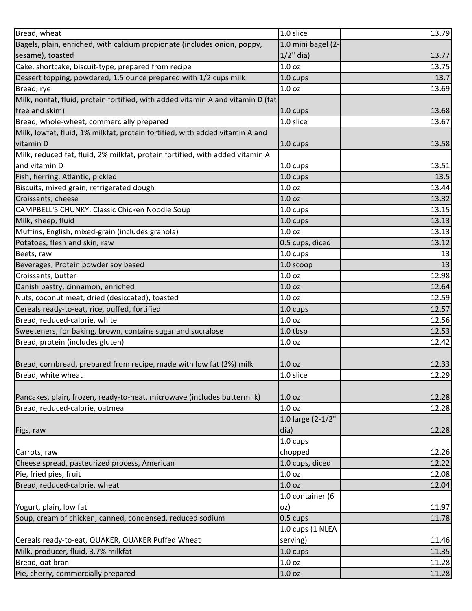| Bread, wheat                                                                    | 1.0 slice          | 13.79 |
|---------------------------------------------------------------------------------|--------------------|-------|
| Bagels, plain, enriched, with calcium propionate (includes onion, poppy,        | 1.0 mini bagel (2- |       |
| sesame), toasted                                                                | $1/2$ " dia)       | 13.77 |
| Cake, shortcake, biscuit-type, prepared from recipe                             | 1.0 <sub>oz</sub>  | 13.75 |
| Dessert topping, powdered, 1.5 ounce prepared with 1/2 cups milk                | 1.0 cups           | 13.7  |
| Bread, rye                                                                      | 1.0 <sub>oz</sub>  | 13.69 |
| Milk, nonfat, fluid, protein fortified, with added vitamin A and vitamin D (fat |                    |       |
| free and skim)                                                                  | 1.0 cups           | 13.68 |
| Bread, whole-wheat, commercially prepared                                       | 1.0 slice          | 13.67 |
| Milk, lowfat, fluid, 1% milkfat, protein fortified, with added vitamin A and    |                    |       |
| vitamin D                                                                       | 1.0 cups           | 13.58 |
| Milk, reduced fat, fluid, 2% milkfat, protein fortified, with added vitamin A   |                    |       |
| and vitamin D                                                                   | 1.0 cups           | 13.51 |
| Fish, herring, Atlantic, pickled                                                | 1.0 cups           | 13.5  |
| Biscuits, mixed grain, refrigerated dough                                       | 1.0 <sub>oz</sub>  | 13.44 |
| Croissants, cheese                                                              | 1.0 <sub>oz</sub>  | 13.32 |
| CAMPBELL'S CHUNKY, Classic Chicken Noodle Soup                                  | 1.0 cups           | 13.15 |
| Milk, sheep, fluid                                                              | 1.0 cups           | 13.13 |
| Muffins, English, mixed-grain (includes granola)                                | 1.0 <sub>oz</sub>  | 13.13 |
| Potatoes, flesh and skin, raw                                                   | 0.5 cups, diced    | 13.12 |
| Beets, raw                                                                      | 1.0 cups           | 13    |
| Beverages, Protein powder soy based                                             | 1.0 scoop          | 13    |
| Croissants, butter                                                              | 1.0 oz             | 12.98 |
| Danish pastry, cinnamon, enriched                                               | 1.0 <sub>oz</sub>  | 12.64 |
| Nuts, coconut meat, dried (desiccated), toasted                                 | 1.0 oz             | 12.59 |
| Cereals ready-to-eat, rice, puffed, fortified                                   | 1.0 cups           | 12.57 |
| Bread, reduced-calorie, white                                                   | 1.0 <sub>oz</sub>  | 12.56 |
| Sweeteners, for baking, brown, contains sugar and sucralose                     | 1.0 tbsp           | 12.53 |
| Bread, protein (includes gluten)                                                | 1.0 oz             | 12.42 |
|                                                                                 |                    |       |
| Bread, cornbread, prepared from recipe, made with low fat (2%) milk             | 1.0 <sub>oz</sub>  | 12.33 |
| Bread, white wheat                                                              | 1.0 slice          | 12.29 |
|                                                                                 |                    |       |
| Pancakes, plain, frozen, ready-to-heat, microwave (includes buttermilk)         | 1.0 oz             | 12.28 |
| Bread, reduced-calorie, oatmeal                                                 | 1.0 <sub>oz</sub>  | 12.28 |
|                                                                                 | 1.0 large (2-1/2"  |       |
| Figs, raw                                                                       | dia)               | 12.28 |
|                                                                                 | $1.0 \text{ cups}$ |       |
| Carrots, raw                                                                    | chopped            | 12.26 |
| Cheese spread, pasteurized process, American                                    | 1.0 cups, diced    | 12.22 |
| Pie, fried pies, fruit                                                          | 1.0 <sub>oz</sub>  | 12.08 |
| Bread, reduced-calorie, wheat                                                   | 1.0 <sub>oz</sub>  | 12.04 |
|                                                                                 | 1.0 container (6   |       |
| Yogurt, plain, low fat                                                          | oz)                | 11.97 |
| Soup, cream of chicken, canned, condensed, reduced sodium                       | $0.5 \text{ cups}$ | 11.78 |
|                                                                                 | 1.0 cups (1 NLEA   |       |
| Cereals ready-to-eat, QUAKER, QUAKER Puffed Wheat                               | serving)           | 11.46 |
| Milk, producer, fluid, 3.7% milkfat                                             | 1.0 cups           | 11.35 |
| Bread, oat bran                                                                 | 1.0 <sub>oz</sub>  | 11.28 |
| Pie, cherry, commercially prepared                                              | 1.0 oz             | 11.28 |
|                                                                                 |                    |       |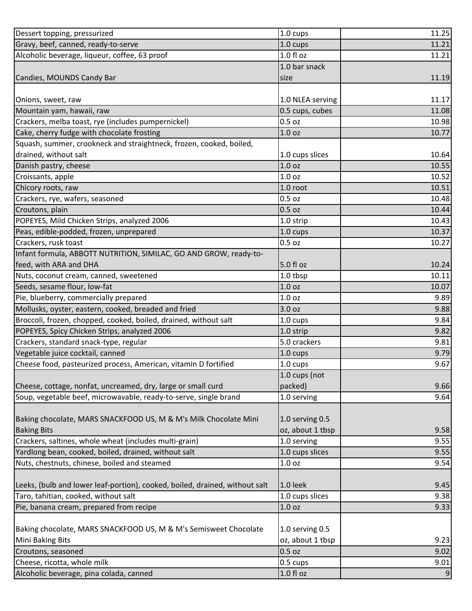| Dessert topping, pressurized                                                | 1.0 cups          | 11.25 |
|-----------------------------------------------------------------------------|-------------------|-------|
| Gravy, beef, canned, ready-to-serve                                         | 1.0 cups          | 11.21 |
| Alcoholic beverage, liqueur, coffee, 63 proof                               | 1.0 f1 oz         | 11.21 |
|                                                                             | 1.0 bar snack     |       |
| Candies, MOUNDS Candy Bar                                                   | size              | 11.19 |
|                                                                             |                   |       |
| Onions, sweet, raw                                                          | 1.0 NLEA serving  | 11.17 |
| Mountain yam, hawaii, raw                                                   | 0.5 cups, cubes   | 11.08 |
| Crackers, melba toast, rye (includes pumpernickel)                          | $0.5$ oz          | 10.98 |
| Cake, cherry fudge with chocolate frosting                                  | 1.0 <sub>oz</sub> | 10.77 |
| Squash, summer, crookneck and straightneck, frozen, cooked, boiled,         |                   |       |
| drained, without salt                                                       | 1.0 cups slices   | 10.64 |
| Danish pastry, cheese                                                       | 1.0 <sub>oz</sub> | 10.55 |
| Croissants, apple                                                           | 1.0 <sub>oz</sub> | 10.52 |
| Chicory roots, raw                                                          | 1.0 root          | 10.51 |
| Crackers, rye, wafers, seasoned                                             | $0.5$ oz          | 10.48 |
| Croutons, plain                                                             | $0.5$ oz          | 10.44 |
| POPEYES, Mild Chicken Strips, analyzed 2006                                 | 1.0 strip         | 10.43 |
| Peas, edible-podded, frozen, unprepared                                     | 1.0 cups          | 10.37 |
| Crackers, rusk toast                                                        | $0.5$ oz          | 10.27 |
| Infant formula, ABBOTT NUTRITION, SIMILAC, GO AND GROW, ready-to-           |                   |       |
| feed, with ARA and DHA                                                      | 5.0 fl oz         | 10.24 |
| Nuts, coconut cream, canned, sweetened                                      | 1.0 tbsp          | 10.11 |
| Seeds, sesame flour, low-fat                                                | 1.0 <sub>oz</sub> | 10.07 |
| Pie, blueberry, commercially prepared                                       | 1.0 <sub>oz</sub> | 9.89  |
| Mollusks, oyster, eastern, cooked, breaded and fried                        | 3.0 oz            | 9.88  |
| Broccoli, frozen, chopped, cooked, boiled, drained, without salt            | 1.0 cups          | 9.84  |
| POPEYES, Spicy Chicken Strips, analyzed 2006                                | 1.0 strip         | 9.82  |
| Crackers, standard snack-type, regular                                      | 5.0 crackers      | 9.81  |
| Vegetable juice cocktail, canned                                            | 1.0 cups          | 9.79  |
| Cheese food, pasteurized process, American, vitamin D fortified             | 1.0 cups          | 9.67  |
|                                                                             | 1.0 cups (not     |       |
| Cheese, cottage, nonfat, uncreamed, dry, large or small curd                | packed)           | 9.66  |
| Soup, vegetable beef, microwavable, ready-to-serve, single brand            | 1.0 serving       | 9.64  |
|                                                                             |                   |       |
| Baking chocolate, MARS SNACKFOOD US, M & M's Milk Chocolate Mini            | 1.0 serving 0.5   |       |
| <b>Baking Bits</b>                                                          | oz, about 1 tbsp  | 9.58  |
| Crackers, saltines, whole wheat (includes multi-grain)                      | 1.0 serving       | 9.55  |
| Yardlong bean, cooked, boiled, drained, without salt                        | 1.0 cups slices   | 9.55  |
| Nuts, chestnuts, chinese, boiled and steamed                                | 1.0 <sub>oz</sub> | 9.54  |
|                                                                             |                   |       |
| Leeks, (bulb and lower leaf-portion), cooked, boiled, drained, without salt | $1.0$ leek        | 9.45  |
| Taro, tahitian, cooked, without salt                                        | 1.0 cups slices   | 9.38  |
| Pie, banana cream, prepared from recipe                                     | 1.0 oz            | 9.33  |
|                                                                             |                   |       |
| Baking chocolate, MARS SNACKFOOD US, M & M's Semisweet Chocolate            | 1.0 serving 0.5   |       |
| Mini Baking Bits                                                            | oz, about 1 tbsp  | 9.23  |
| Croutons, seasoned                                                          | $0.5$ oz          | 9.02  |
| Cheese, ricotta, whole milk                                                 | 0.5 cups          | 9.01  |
| Alcoholic beverage, pina colada, canned                                     | $1.0 f$ l oz      | 9     |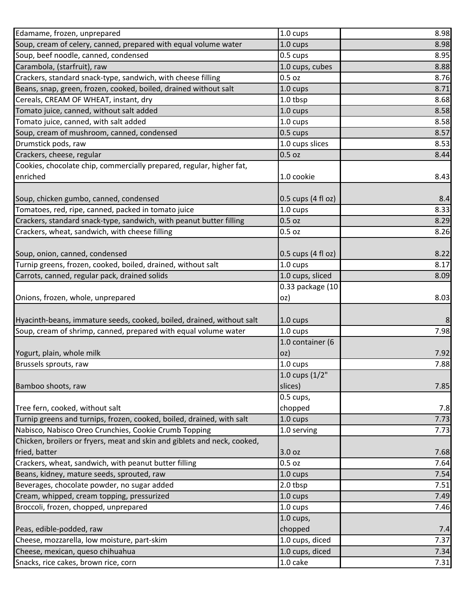| Edamame, frozen, unprepared                                              | 1.0 cups                    | 8.98         |
|--------------------------------------------------------------------------|-----------------------------|--------------|
| Soup, cream of celery, canned, prepared with equal volume water          | 1.0 cups                    | 8.98         |
| Soup, beef noodle, canned, condensed                                     | 0.5 cups                    | 8.95         |
| Carambola, (starfruit), raw                                              | 1.0 cups, cubes             | 8.88         |
| Crackers, standard snack-type, sandwich, with cheese filling             | $0.5$ oz                    | 8.76         |
| Beans, snap, green, frozen, cooked, boiled, drained without salt         | 1.0 cups                    | 8.71         |
| Cereals, CREAM OF WHEAT, instant, dry                                    | 1.0 tbsp                    | 8.68         |
| Tomato juice, canned, without salt added                                 | 1.0 cups                    | 8.58         |
| Tomato juice, canned, with salt added                                    | 1.0 cups                    | 8.58         |
| Soup, cream of mushroom, canned, condensed                               | 0.5 cups                    | 8.57         |
| Drumstick pods, raw                                                      | 1.0 cups slices             | 8.53         |
| Crackers, cheese, regular                                                | 0.5 oz                      | 8.44         |
| Cookies, chocolate chip, commercially prepared, regular, higher fat,     |                             |              |
| enriched                                                                 | 1.0 cookie                  | 8.43         |
|                                                                          |                             |              |
| Soup, chicken gumbo, canned, condensed                                   | $0.5$ cups (4 fl oz)        | 8.4          |
| Tomatoes, red, ripe, canned, packed in tomato juice                      | 1.0 cups                    | 8.33         |
| Crackers, standard snack-type, sandwich, with peanut butter filling      | $0.5$ oz                    | 8.29         |
| Crackers, wheat, sandwich, with cheese filling                           | $0.5$ oz                    | 8.26         |
|                                                                          |                             |              |
| Soup, onion, canned, condensed                                           | 0.5 cups (4 fl oz)          | 8.22         |
| Turnip greens, frozen, cooked, boiled, drained, without salt             | 1.0 cups                    | 8.17         |
| Carrots, canned, regular pack, drained solids                            | 1.0 cups, sliced            | 8.09         |
|                                                                          | 0.33 package (10            |              |
| Onions, frozen, whole, unprepared                                        | oz)                         | 8.03         |
|                                                                          |                             |              |
| Hyacinth-beans, immature seeds, cooked, boiled, drained, without salt    | 1.0 cups                    | 8            |
| Soup, cream of shrimp, canned, prepared with equal volume water          | $1.0 \text{ cups}$          | 7.98         |
|                                                                          | 1.0 container (6            |              |
| Yogurt, plain, whole milk                                                | oz)                         | 7.92         |
| Brussels sprouts, raw                                                    | 1.0 cups                    | 7.88         |
|                                                                          | 1.0 cups (1/2"              |              |
| Bamboo shoots, raw                                                       | slices)                     | 7.85         |
|                                                                          | 0.5 cups,                   |              |
|                                                                          |                             |              |
| Tree fern, cooked, without salt                                          | chopped                     | 7.8          |
| Turnip greens and turnips, frozen, cooked, boiled, drained, with salt    | 1.0 cups                    | 7.73         |
| Nabisco, Nabisco Oreo Crunchies, Cookie Crumb Topping                    | 1.0 serving                 | 7.73         |
| Chicken, broilers or fryers, meat and skin and giblets and neck, cooked, |                             |              |
| fried, batter                                                            | 3.0 oz                      | 7.68         |
| Crackers, wheat, sandwich, with peanut butter filling                    | $0.5$ oz                    | 7.64         |
| Beans, kidney, mature seeds, sprouted, raw                               | 1.0 cups                    | 7.54         |
| Beverages, chocolate powder, no sugar added                              | 2.0 tbsp                    | 7.51         |
| Cream, whipped, cream topping, pressurized                               | 1.0 cups                    | 7.49         |
| Broccoli, frozen, chopped, unprepared                                    | 1.0 cups                    | 7.46         |
|                                                                          | $1.0$ cups,                 |              |
| Peas, edible-podded, raw                                                 | chopped                     | 7.4          |
| Cheese, mozzarella, low moisture, part-skim                              | 1.0 cups, diced             | 7.37         |
| Cheese, mexican, queso chihuahua<br>Snacks, rice cakes, brown rice, corn | 1.0 cups, diced<br>1.0 cake | 7.34<br>7.31 |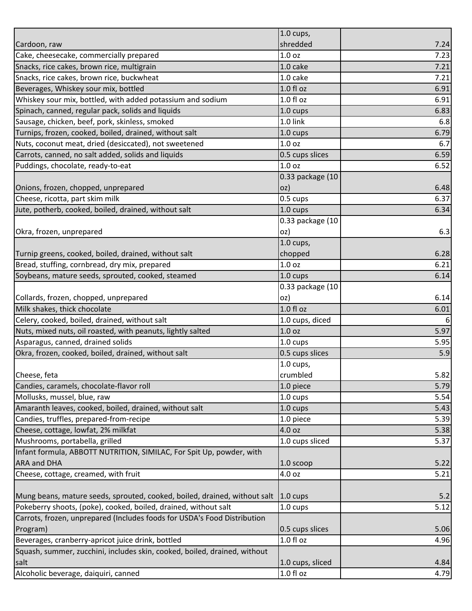|                                                                           | $1.0$ cups,        |      |
|---------------------------------------------------------------------------|--------------------|------|
| Cardoon, raw                                                              | shredded           | 7.24 |
| Cake, cheesecake, commercially prepared                                   | 1.0 <sub>oz</sub>  | 7.23 |
| Snacks, rice cakes, brown rice, multigrain                                | 1.0 cake           | 7.21 |
| Snacks, rice cakes, brown rice, buckwheat                                 | 1.0 cake           | 7.21 |
| Beverages, Whiskey sour mix, bottled                                      | 1.0 fl oz          | 6.91 |
| Whiskey sour mix, bottled, with added potassium and sodium                | 1.0 f1 oz          | 6.91 |
| Spinach, canned, regular pack, solids and liquids                         | 1.0 cups           | 6.83 |
| Sausage, chicken, beef, pork, skinless, smoked                            | 1.0 link           | 6.8  |
| Turnips, frozen, cooked, boiled, drained, without salt                    | $1.0 \text{ cups}$ | 6.79 |
| Nuts, coconut meat, dried (desiccated), not sweetened                     | 1.0 <sub>oz</sub>  | 6.7  |
| Carrots, canned, no salt added, solids and liquids                        | 0.5 cups slices    | 6.59 |
| Puddings, chocolate, ready-to-eat                                         | 1.0 <sub>oz</sub>  | 6.52 |
|                                                                           | 0.33 package (10   |      |
| Onions, frozen, chopped, unprepared                                       | OZ)                | 6.48 |
| Cheese, ricotta, part skim milk                                           | 0.5 cups           | 6.37 |
| Jute, potherb, cooked, boiled, drained, without salt                      | 1.0 cups           | 6.34 |
|                                                                           | 0.33 package (10   |      |
| Okra, frozen, unprepared                                                  | oz)                | 6.3  |
|                                                                           | $1.0$ cups,        |      |
| Turnip greens, cooked, boiled, drained, without salt                      | chopped            | 6.28 |
| Bread, stuffing, cornbread, dry mix, prepared                             | 1.0 oz             | 6.21 |
| Soybeans, mature seeds, sprouted, cooked, steamed                         | 1.0 cups           | 6.14 |
|                                                                           | 0.33 package (10   |      |
| Collards, frozen, chopped, unprepared                                     | oz)                | 6.14 |
| Milk shakes, thick chocolate                                              | 1.0 fl oz          | 6.01 |
| Celery, cooked, boiled, drained, without salt                             | 1.0 cups, diced    | 6    |
| Nuts, mixed nuts, oil roasted, with peanuts, lightly salted               | 1.0 <sub>oz</sub>  | 5.97 |
| Asparagus, canned, drained solids                                         | 1.0 cups           | 5.95 |
| Okra, frozen, cooked, boiled, drained, without salt                       | 0.5 cups slices    | 5.9  |
|                                                                           | $1.0$ cups,        |      |
| Cheese, feta                                                              | crumbled           | 5.82 |
| Candies, caramels, chocolate-flavor roll                                  | 1.0 piece          | 5.79 |
| Mollusks, mussel, blue, raw                                               | 1.0 cups           | 5.54 |
| Amaranth leaves, cooked, boiled, drained, without salt                    | 1.0 cups           | 5.43 |
| Candies, truffles, prepared-from-recipe                                   | 1.0 piece          | 5.39 |
| Cheese, cottage, lowfat, 2% milkfat                                       | 4.0 oz             | 5.38 |
| Mushrooms, portabella, grilled                                            | 1.0 cups sliced    | 5.37 |
| Infant formula, ABBOTT NUTRITION, SIMILAC, For Spit Up, powder, with      |                    |      |
| <b>ARA and DHA</b>                                                        | $1.0$ scoop        | 5.22 |
| Cheese, cottage, creamed, with fruit                                      | 4.0 oz             | 5.21 |
|                                                                           |                    |      |
| Mung beans, mature seeds, sprouted, cooked, boiled, drained, without salt | $1.0 \text{ cups}$ | 5.2  |
| Pokeberry shoots, (poke), cooked, boiled, drained, without salt           | 1.0 cups           | 5.12 |
| Carrots, frozen, unprepared (Includes foods for USDA's Food Distribution  |                    |      |
| Program)                                                                  | 0.5 cups slices    | 5.06 |
| Beverages, cranberry-apricot juice drink, bottled                         | 1.0 fl oz          | 4.96 |
| Squash, summer, zucchini, includes skin, cooked, boiled, drained, without |                    |      |
| salt                                                                      | 1.0 cups, sliced   | 4.84 |
| Alcoholic beverage, daiquiri, canned                                      | 1.0 fl oz          | 4.79 |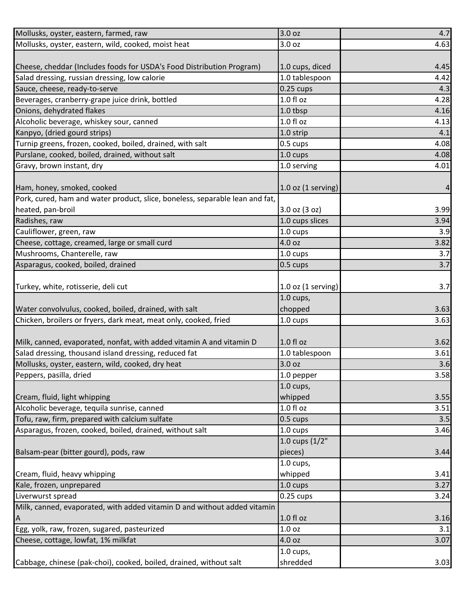| Mollusks, oyster, eastern, farmed, raw                                       | 3.0 oz                   | 4.7  |
|------------------------------------------------------------------------------|--------------------------|------|
| Mollusks, oyster, eastern, wild, cooked, moist heat                          | 3.0 oz                   | 4.63 |
|                                                                              |                          |      |
| Cheese, cheddar (Includes foods for USDA's Food Distribution Program)        | 1.0 cups, diced          | 4.45 |
| Salad dressing, russian dressing, low calorie                                | 1.0 tablespoon           | 4.42 |
| Sauce, cheese, ready-to-serve                                                | $0.25$ cups              | 4.3  |
| Beverages, cranberry-grape juice drink, bottled                              | 1.0 fl oz                | 4.28 |
| Onions, dehydrated flakes                                                    | 1.0 tbsp                 | 4.16 |
| Alcoholic beverage, whiskey sour, canned                                     | 1.0 fl oz                | 4.13 |
| Kanpyo, (dried gourd strips)                                                 | 1.0 strip                | 4.1  |
| Turnip greens, frozen, cooked, boiled, drained, with salt                    | 0.5 cups                 | 4.08 |
| Purslane, cooked, boiled, drained, without salt                              | $1.0 \text{ cups}$       | 4.08 |
| Gravy, brown instant, dry                                                    | 1.0 serving              | 4.01 |
|                                                                              |                          |      |
| Ham, honey, smoked, cooked                                                   | $1.0$ oz $(1$ serving)   | 4    |
| Pork, cured, ham and water product, slice, boneless, separable lean and fat, |                          |      |
| heated, pan-broil                                                            | 3.0 oz (3 oz)            | 3.99 |
| Radishes, raw                                                                | 1.0 cups slices          | 3.94 |
| Cauliflower, green, raw                                                      | 1.0 cups                 | 3.9  |
| Cheese, cottage, creamed, large or small curd                                | 4.0 oz                   | 3.82 |
| Mushrooms, Chanterelle, raw                                                  | 1.0 cups                 | 3.7  |
| Asparagus, cooked, boiled, drained                                           | 0.5 cups                 | 3.7  |
|                                                                              |                          |      |
| Turkey, white, rotisserie, deli cut                                          | $1.0$ oz $(1$ serving)   | 3.7  |
|                                                                              | $1.0$ cups,              |      |
| Water convolvulus, cooked, boiled, drained, with salt                        | chopped                  | 3.63 |
| Chicken, broilers or fryers, dark meat, meat only, cooked, fried             | 1.0 cups                 | 3.63 |
|                                                                              |                          |      |
| Milk, canned, evaporated, nonfat, with added vitamin A and vitamin D         | $1.0 f$ l oz             | 3.62 |
| Salad dressing, thousand island dressing, reduced fat                        | 1.0 tablespoon           | 3.61 |
| Mollusks, oyster, eastern, wild, cooked, dry heat                            | 3.0 oz                   | 3.6  |
| Peppers, pasilla, dried                                                      | 1.0 pepper               | 3.58 |
|                                                                              | $1.0$ cups,              |      |
| Cream, fluid, light whipping                                                 | whipped                  | 3.55 |
| Alcoholic beverage, tequila sunrise, canned                                  | 1.0 fl oz                | 3.51 |
| Tofu, raw, firm, prepared with calcium sulfate                               | 0.5 cups                 | 3.5  |
| Asparagus, frozen, cooked, boiled, drained, without salt                     | 1.0 cups                 | 3.46 |
|                                                                              | $1.0 \text{ cups} (1/2)$ |      |
| Balsam-pear (bitter gourd), pods, raw                                        | pieces)                  | 3.44 |
|                                                                              | 1.0 cups,                |      |
| Cream, fluid, heavy whipping                                                 | whipped                  | 3.41 |
| Kale, frozen, unprepared                                                     | 1.0 cups                 | 3.27 |
| Liverwurst spread                                                            | $0.25$ cups              | 3.24 |
| Milk, canned, evaporated, with added vitamin D and without added vitamin     |                          |      |
| $\mathsf{A}$                                                                 | 1.0 fl oz                | 3.16 |
| Egg, yolk, raw, frozen, sugared, pasteurized                                 | 1.0 <sub>oz</sub>        | 3.1  |
| Cheese, cottage, lowfat, 1% milkfat                                          | 4.0 oz                   | 3.07 |
|                                                                              | $1.0$ cups,              |      |
| Cabbage, chinese (pak-choi), cooked, boiled, drained, without salt           | shredded                 | 3.03 |
|                                                                              |                          |      |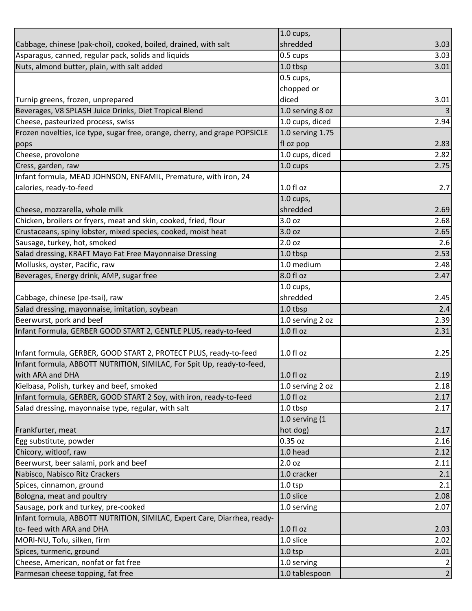|                                                                            | $1.0$ cups,         |                |
|----------------------------------------------------------------------------|---------------------|----------------|
| Cabbage, chinese (pak-choi), cooked, boiled, drained, with salt            | shredded            | 3.03           |
| Asparagus, canned, regular pack, solids and liquids                        | 0.5 cups            | 3.03           |
| Nuts, almond butter, plain, with salt added                                | 1.0 tbsp            | 3.01           |
|                                                                            | 0.5 cups,           |                |
|                                                                            | chopped or          |                |
| Turnip greens, frozen, unprepared                                          | diced               | 3.01           |
| Beverages, V8 SPLASH Juice Drinks, Diet Tropical Blend                     | 1.0 serving 8 oz    |                |
| Cheese, pasteurized process, swiss                                         | 1.0 cups, diced     | 2.94           |
| Frozen novelties, ice type, sugar free, orange, cherry, and grape POPSICLE | 1.0 serving 1.75    |                |
| pops                                                                       | fl oz pop           | 2.83           |
| Cheese, provolone                                                          | 1.0 cups, diced     | 2.82           |
| Cress, garden, raw                                                         | 1.0 cups            | 2.75           |
| Infant formula, MEAD JOHNSON, ENFAMIL, Premature, with iron, 24            |                     |                |
| calories, ready-to-feed                                                    | 1.0 fl oz           | 2.7            |
|                                                                            | $1.0$ cups,         |                |
| Cheese, mozzarella, whole milk                                             | shredded            | 2.69           |
| Chicken, broilers or fryers, meat and skin, cooked, fried, flour           | 3.0 oz              | 2.68           |
| Crustaceans, spiny lobster, mixed species, cooked, moist heat              | 3.0 oz              | 2.65           |
| Sausage, turkey, hot, smoked                                               | 2.0 oz              | 2.6            |
| Salad dressing, KRAFT Mayo Fat Free Mayonnaise Dressing                    | 1.0 tbsp            | 2.53           |
| Mollusks, oyster, Pacific, raw                                             | 1.0 medium          | 2.48           |
| Beverages, Energy drink, AMP, sugar free                                   | 8.0 fl oz           | 2.47           |
|                                                                            | $1.0$ cups,         |                |
| Cabbage, chinese (pe-tsai), raw                                            | shredded            | 2.45           |
| Salad dressing, mayonnaise, imitation, soybean                             | 1.0 tbsp            | 2.4            |
| Beerwurst, pork and beef                                                   | 1.0 serving 2 oz    | 2.39           |
| Infant Formula, GERBER GOOD START 2, GENTLE PLUS, ready-to-feed            | $1.0 f$ l oz        | 2.31           |
|                                                                            |                     |                |
| Infant formula, GERBER, GOOD START 2, PROTECT PLUS, ready-to-feed          | 1.0 fl oz           | 2.25           |
| Infant formula, ABBOTT NUTRITION, SIMILAC, For Spit Up, ready-to-feed,     |                     |                |
| with ARA and DHA                                                           | 1.0 fl oz           | 2.19           |
| Kielbasa, Polish, turkey and beef, smoked                                  | 1.0 serving 2 oz    | 2.18           |
| Infant formula, GERBER, GOOD START 2 Soy, with iron, ready-to-feed         | $1.0 f$ l oz        | 2.17           |
| Salad dressing, mayonnaise type, regular, with salt                        | 1.0 tbsp            | 2.17           |
|                                                                            | $1.0$ serving $(1)$ |                |
| Frankfurter, meat                                                          | hot dog)            | 2.17           |
| Egg substitute, powder                                                     | 0.35 oz             | 2.16           |
| Chicory, witloof, raw                                                      | 1.0 head            | 2.12           |
| Beerwurst, beer salami, pork and beef                                      | 2.0 oz              | 2.11           |
| Nabisco, Nabisco Ritz Crackers                                             | 1.0 cracker         | 2.1            |
| Spices, cinnamon, ground                                                   | $1.0$ tsp           | 2.1            |
| Bologna, meat and poultry                                                  | 1.0 slice           | 2.08           |
| Sausage, pork and turkey, pre-cooked                                       | 1.0 serving         | 2.07           |
| Infant formula, ABBOTT NUTRITION, SIMILAC, Expert Care, Diarrhea, ready-   |                     |                |
| to- feed with ARA and DHA                                                  | 1.0 fl oz           | 2.03           |
| MORI-NU, Tofu, silken, firm                                                | 1.0 slice           | 2.02           |
| Spices, turmeric, ground                                                   | $1.0$ tsp           | 2.01           |
| Cheese, American, nonfat or fat free                                       | 1.0 serving         | $\overline{2}$ |
| Parmesan cheese topping, fat free                                          | 1.0 tablespoon      | $\overline{2}$ |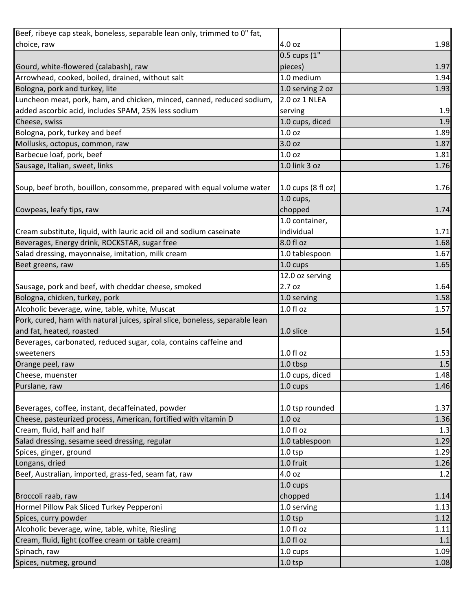| Beef, ribeye cap steak, boneless, separable lean only, trimmed to 0" fat,    |                    |      |
|------------------------------------------------------------------------------|--------------------|------|
| choice, raw                                                                  | 4.0 oz             | 1.98 |
|                                                                              | $0.5$ cups $(1"$   |      |
| Gourd, white-flowered (calabash), raw                                        | pieces)            | 1.97 |
| Arrowhead, cooked, boiled, drained, without salt                             | 1.0 medium         | 1.94 |
| Bologna, pork and turkey, lite                                               | 1.0 serving 2 oz   | 1.93 |
| Luncheon meat, pork, ham, and chicken, minced, canned, reduced sodium,       | 2.0 oz 1 NLEA      |      |
| added ascorbic acid, includes SPAM, 25% less sodium                          | serving            | 1.9  |
| Cheese, swiss                                                                | 1.0 cups, diced    | 1.9  |
| Bologna, pork, turkey and beef                                               | 1.0 <sub>oz</sub>  | 1.89 |
| Mollusks, octopus, common, raw                                               | 3.0 oz             | 1.87 |
| Barbecue loaf, pork, beef                                                    | 1.0 <sub>oz</sub>  | 1.81 |
| Sausage, Italian, sweet, links                                               | 1.0 link 3 oz      | 1.76 |
|                                                                              |                    |      |
| Soup, beef broth, bouillon, consomme, prepared with equal volume water       | 1.0 cups (8 fl oz) | 1.76 |
|                                                                              | $1.0$ cups,        |      |
| Cowpeas, leafy tips, raw                                                     | chopped            | 1.74 |
|                                                                              | 1.0 container,     |      |
| Cream substitute, liquid, with lauric acid oil and sodium caseinate          | individual         | 1.71 |
| Beverages, Energy drink, ROCKSTAR, sugar free                                | 8.0 fl oz          | 1.68 |
| Salad dressing, mayonnaise, imitation, milk cream                            | 1.0 tablespoon     | 1.67 |
| Beet greens, raw                                                             | 1.0 cups           | 1.65 |
|                                                                              | 12.0 oz serving    |      |
| Sausage, pork and beef, with cheddar cheese, smoked                          | 2.7 oz             | 1.64 |
| Bologna, chicken, turkey, pork                                               | 1.0 serving        | 1.58 |
| Alcoholic beverage, wine, table, white, Muscat                               | 1.0 fl oz          | 1.57 |
| Pork, cured, ham with natural juices, spiral slice, boneless, separable lean |                    |      |
| and fat, heated, roasted                                                     | 1.0 slice          | 1.54 |
| Beverages, carbonated, reduced sugar, cola, contains caffeine and            |                    |      |
| sweeteners                                                                   | $1.0 f$ l oz       | 1.53 |
| Orange peel, raw                                                             | 1.0 tbsp           | 1.5  |
| Cheese, muenster                                                             | 1.0 cups, diced    | 1.48 |
| Purslane, raw                                                                | $1.0 \text{ cups}$ | 1.46 |
|                                                                              |                    |      |
| Beverages, coffee, instant, decaffeinated, powder                            | 1.0 tsp rounded    | 1.37 |
| Cheese, pasteurized process, American, fortified with vitamin D              | 1.0 <sub>oz</sub>  | 1.36 |
| Cream, fluid, half and half                                                  | 1.0 fl oz          | 1.3  |
| Salad dressing, sesame seed dressing, regular                                | 1.0 tablespoon     | 1.29 |
| Spices, ginger, ground                                                       | $1.0$ tsp          | 1.29 |
| Longans, dried                                                               | 1.0 fruit          | 1.26 |
| Beef, Australian, imported, grass-fed, seam fat, raw                         | 4.0 oz             | 1.2  |
|                                                                              | $1.0 \text{ cups}$ |      |
| Broccoli raab, raw                                                           | chopped            | 1.14 |
| Hormel Pillow Pak Sliced Turkey Pepperoni                                    | 1.0 serving        | 1.13 |
| Spices, curry powder                                                         | $1.0$ tsp          | 1.12 |
| Alcoholic beverage, wine, table, white, Riesling                             | 1.0 f1 oz          | 1.11 |
| Cream, fluid, light (coffee cream or table cream)                            | 1.0 f1 oz          | 1.1  |
| Spinach, raw                                                                 | 1.0 cups           | 1.09 |
| Spices, nutmeg, ground                                                       | $1.0$ tsp          | 1.08 |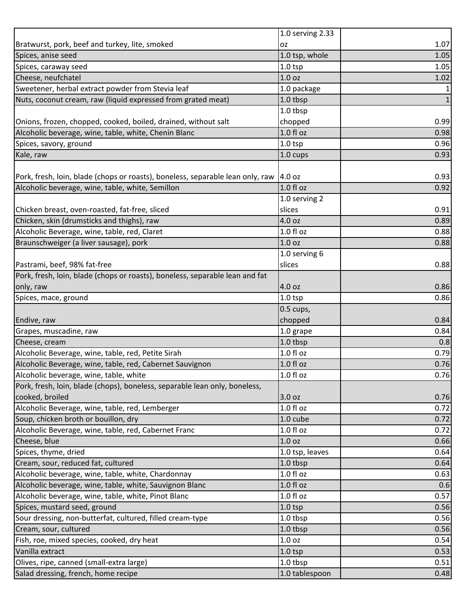|                                                                                | 1.0 serving 2.33   |              |
|--------------------------------------------------------------------------------|--------------------|--------------|
| Bratwurst, pork, beef and turkey, lite, smoked                                 | 0Z                 | 1.07         |
| Spices, anise seed                                                             | 1.0 tsp, whole     | 1.05         |
| Spices, caraway seed                                                           | $1.0$ tsp          | 1.05         |
| Cheese, neufchatel                                                             | 1.0 <sub>oz</sub>  | 1.02         |
| Sweetener, herbal extract powder from Stevia leaf                              | 1.0 package        | $\mathbf{1}$ |
| Nuts, coconut cream, raw (liquid expressed from grated meat)                   | 1.0 tbsp           | $\mathbf 1$  |
|                                                                                | 1.0 tbsp           |              |
| Onions, frozen, chopped, cooked, boiled, drained, without salt                 | chopped            | 0.99         |
| Alcoholic beverage, wine, table, white, Chenin Blanc                           | 1.0 fl oz          | 0.98         |
| Spices, savory, ground                                                         | $1.0$ tsp          | 0.96         |
| Kale, raw                                                                      | 1.0 cups           | 0.93         |
|                                                                                |                    |              |
| Pork, fresh, loin, blade (chops or roasts), boneless, separable lean only, raw | 4.0 oz             | 0.93         |
| Alcoholic beverage, wine, table, white, Semillon                               | 1.0 fl oz          | 0.92         |
|                                                                                | 1.0 serving 2      |              |
| Chicken breast, oven-roasted, fat-free, sliced                                 | slices             | 0.91         |
| Chicken, skin (drumsticks and thighs), raw                                     | 4.0 oz             | 0.89         |
| Alcoholic Beverage, wine, table, red, Claret                                   | $1.0f$ l oz        | 0.88         |
| Braunschweiger (a liver sausage), pork                                         | 1.0 <sub>oz</sub>  | 0.88         |
|                                                                                | 1.0 serving 6      |              |
| Pastrami, beef, 98% fat-free                                                   | slices             | 0.88         |
| Pork, fresh, loin, blade (chops or roasts), boneless, separable lean and fat   |                    |              |
| only, raw                                                                      | 4.0 oz             | 0.86         |
| Spices, mace, ground                                                           | $1.0$ tsp          | 0.86         |
|                                                                                | $0.5$ cups,        |              |
| Endive, raw                                                                    | chopped            | 0.84         |
| Grapes, muscadine, raw                                                         | 1.0 grape          | 0.84         |
| Cheese, cream                                                                  | 1.0 tbsp           | 0.8          |
| Alcoholic Beverage, wine, table, red, Petite Sirah                             | 1.0 fl oz          | 0.79         |
| Alcoholic Beverage, wine, table, red, Cabernet Sauvignon                       | $1.0 f$ l oz       | 0.76         |
| Alcoholic beverage, wine, table, white                                         | 1.0 f1 oz          | 0.76         |
| Pork, fresh, loin, blade (chops), boneless, separable lean only, boneless,     |                    |              |
| cooked, broiled                                                                | 3.0 oz             | 0.76         |
| Alcoholic Beverage, wine, table, red, Lemberger                                | 1.0 f1 oz          | 0.72         |
| Soup, chicken broth or bouillon, dry                                           | 1.0 cube           | 0.72         |
| Alcoholic Beverage, wine, table, red, Cabernet Franc                           | 1.0 f1 oz          | 0.72         |
| Cheese, blue                                                                   | 1.0 <sub>oz</sub>  | 0.66         |
| Spices, thyme, dried                                                           | 1.0 tsp, leaves    | 0.64         |
| Cream, sour, reduced fat, cultured                                             | 1.0 tbsp           | 0.64         |
| Alcoholic beverage, wine, table, white, Chardonnay                             | 1.0 f1 oz          | 0.63         |
| Alcoholic beverage, wine, table, white, Sauvignon Blanc                        | 1.0 f1 oz          | 0.6          |
| Alcoholic beverage, wine, table, white, Pinot Blanc                            | $1.0 f$ l oz       | 0.57         |
| Spices, mustard seed, ground                                                   | 1.0 <sub>tsp</sub> | 0.56         |
| Sour dressing, non-butterfat, cultured, filled cream-type                      | 1.0 tbsp           | 0.56         |
| Cream, sour, cultured                                                          | 1.0 tbsp           | 0.56         |
| Fish, roe, mixed species, cooked, dry heat                                     | 1.0 <sub>oz</sub>  | 0.54         |
| Vanilla extract                                                                | $1.0$ tsp          | 0.53         |
| Olives, ripe, canned (small-extra large)                                       | 1.0 tbsp           | 0.51         |
| Salad dressing, french, home recipe                                            | 1.0 tablespoon     | 0.48         |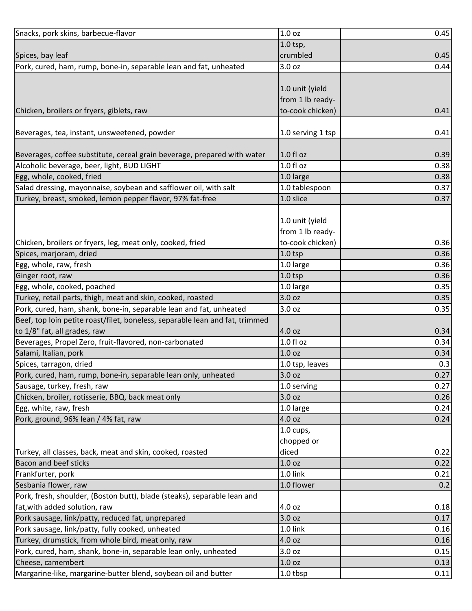| Snacks, pork skins, barbecue-flavor                                                              | 1.0 <sub>oz</sub>      | 0.45 |
|--------------------------------------------------------------------------------------------------|------------------------|------|
|                                                                                                  | 1.0 tsp,               |      |
| Spices, bay leaf                                                                                 | crumbled               | 0.45 |
| Pork, cured, ham, rump, bone-in, separable lean and fat, unheated                                | 3.0 oz                 | 0.44 |
|                                                                                                  |                        |      |
|                                                                                                  | 1.0 unit (yield        |      |
|                                                                                                  | from 1 lb ready-       |      |
| Chicken, broilers or fryers, giblets, raw                                                        | to-cook chicken)       | 0.41 |
|                                                                                                  |                        |      |
| Beverages, tea, instant, unsweetened, powder                                                     | 1.0 serving 1 tsp      | 0.41 |
| Beverages, coffee substitute, cereal grain beverage, prepared with water                         | $1.0 f$ l oz           | 0.39 |
| Alcoholic beverage, beer, light, BUD LIGHT                                                       | $1.0 f$ l oz           | 0.38 |
| Egg, whole, cooked, fried                                                                        | 1.0 large              | 0.38 |
| Salad dressing, mayonnaise, soybean and safflower oil, with salt                                 | 1.0 tablespoon         | 0.37 |
| Turkey, breast, smoked, lemon pepper flavor, 97% fat-free                                        | 1.0 slice              | 0.37 |
|                                                                                                  |                        |      |
|                                                                                                  | 1.0 unit (yield        |      |
|                                                                                                  | from 1 lb ready-       |      |
| Chicken, broilers or fryers, leg, meat only, cooked, fried                                       | to-cook chicken)       | 0.36 |
| Spices, marjoram, dried                                                                          | $1.0$ tsp              | 0.36 |
| Egg, whole, raw, fresh                                                                           | 1.0 large              | 0.36 |
| Ginger root, raw                                                                                 | $1.0$ tsp              | 0.36 |
| Egg, whole, cooked, poached                                                                      | 1.0 large              | 0.35 |
| Turkey, retail parts, thigh, meat and skin, cooked, roasted                                      | 3.0 oz                 | 0.35 |
| Pork, cured, ham, shank, bone-in, separable lean and fat, unheated                               | 3.0 oz                 | 0.35 |
| Beef, top loin petite roast/filet, boneless, separable lean and fat, trimmed                     |                        |      |
| to 1/8" fat, all grades, raw                                                                     | 4.0 oz                 | 0.34 |
| Beverages, Propel Zero, fruit-flavored, non-carbonated                                           | 1.0 fl oz              | 0.34 |
| Salami, Italian, pork                                                                            | 1.0 <sub>oz</sub>      | 0.34 |
| Spices, tarragon, dried                                                                          | 1.0 tsp, leaves        | 0.3  |
| Pork, cured, ham, rump, bone-in, separable lean only, unheated                                   | 3.0 <sub>oz</sub>      | 0.27 |
| Sausage, turkey, fresh, raw                                                                      | 1.0 serving            | 0.27 |
| Chicken, broiler, rotisserie, BBQ, back meat only                                                | 3.0 oz                 | 0.26 |
| Egg, white, raw, fresh                                                                           | 1.0 large              | 0.24 |
| Pork, ground, 96% lean / 4% fat, raw                                                             | 4.0 oz                 | 0.24 |
|                                                                                                  | $1.0$ cups,            |      |
|                                                                                                  | chopped or             |      |
| Turkey, all classes, back, meat and skin, cooked, roasted                                        | diced                  | 0.22 |
| <b>Bacon and beef sticks</b>                                                                     | 1.0 <sub>oz</sub>      | 0.22 |
| Frankfurter, pork                                                                                | 1.0 link<br>1.0 flower | 0.21 |
| Sesbania flower, raw<br>Pork, fresh, shoulder, (Boston butt), blade (steaks), separable lean and |                        | 0.2  |
| fat, with added solution, raw                                                                    | 4.0 oz                 | 0.18 |
| Pork sausage, link/patty, reduced fat, unprepared                                                | 3.0 oz                 | 0.17 |
| Pork sausage, link/patty, fully cooked, unheated                                                 | 1.0 link               | 0.16 |
| Turkey, drumstick, from whole bird, meat only, raw                                               | 4.0 oz                 | 0.16 |
| Pork, cured, ham, shank, bone-in, separable lean only, unheated                                  | 3.0 oz                 | 0.15 |
| Cheese, camembert                                                                                | 1.0 oz                 | 0.13 |
| Margarine-like, margarine-butter blend, soybean oil and butter                                   | 1.0 tbsp               | 0.11 |
|                                                                                                  |                        |      |